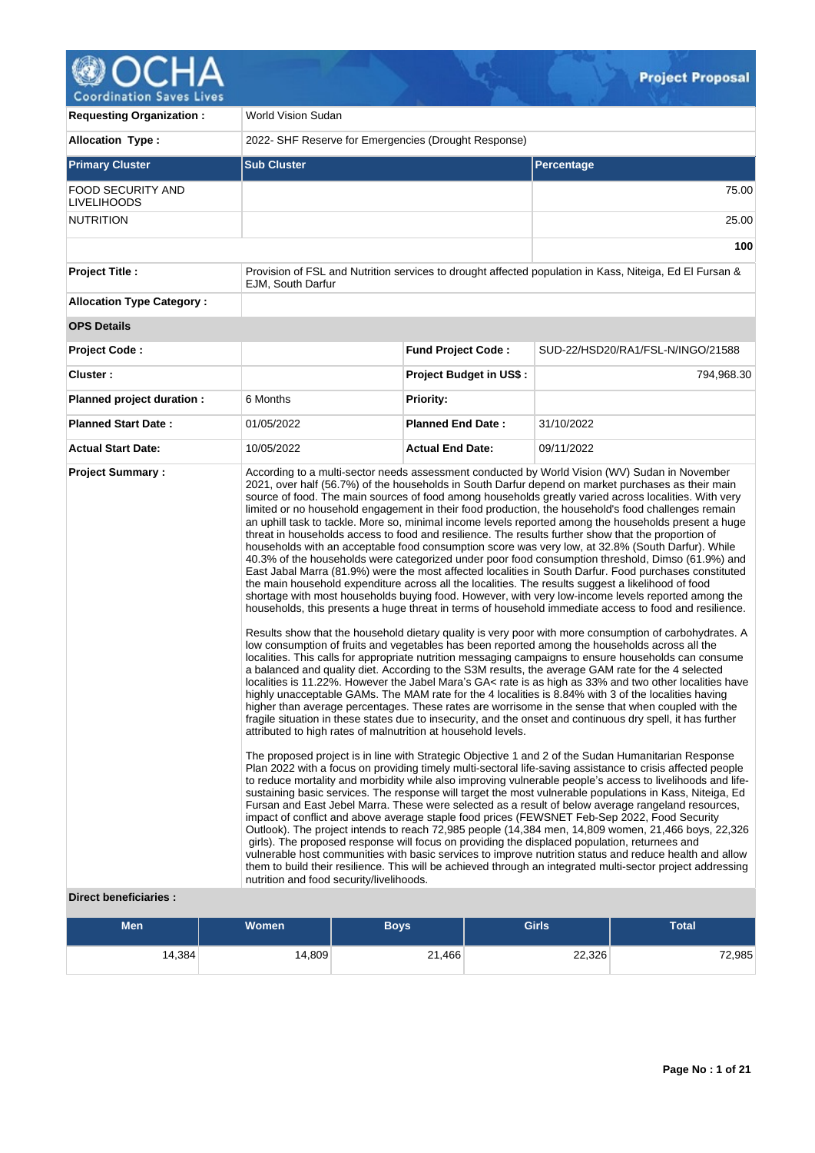# **OCHA** Coordination Saves Lives

| <b>Requesting Organization:</b>                | World Vision Sudan                                                                                        |                                |                                                                                                                                                                                                                                                                                                                                                                                                                                                                                                                                                                                                                                                                                                                                                                                                                                                                                                                                                                                                                                                                                                                                                                                                                                                                                                                                                                                                                                                                                                                                                                                                                                                                                                                                                                                                                                                                                                                                                                                                                                                                                                                                                                                                                                                                                                                                                                                                                                                                                                                                                                                                                                                                                                                                                                                                                                                                                                                                                                                                                                                                                                                                                                                                                                         |  |  |  |  |
|------------------------------------------------|-----------------------------------------------------------------------------------------------------------|--------------------------------|-----------------------------------------------------------------------------------------------------------------------------------------------------------------------------------------------------------------------------------------------------------------------------------------------------------------------------------------------------------------------------------------------------------------------------------------------------------------------------------------------------------------------------------------------------------------------------------------------------------------------------------------------------------------------------------------------------------------------------------------------------------------------------------------------------------------------------------------------------------------------------------------------------------------------------------------------------------------------------------------------------------------------------------------------------------------------------------------------------------------------------------------------------------------------------------------------------------------------------------------------------------------------------------------------------------------------------------------------------------------------------------------------------------------------------------------------------------------------------------------------------------------------------------------------------------------------------------------------------------------------------------------------------------------------------------------------------------------------------------------------------------------------------------------------------------------------------------------------------------------------------------------------------------------------------------------------------------------------------------------------------------------------------------------------------------------------------------------------------------------------------------------------------------------------------------------------------------------------------------------------------------------------------------------------------------------------------------------------------------------------------------------------------------------------------------------------------------------------------------------------------------------------------------------------------------------------------------------------------------------------------------------------------------------------------------------------------------------------------------------------------------------------------------------------------------------------------------------------------------------------------------------------------------------------------------------------------------------------------------------------------------------------------------------------------------------------------------------------------------------------------------------------------------------------------------------------------------------------------------------|--|--|--|--|
| <b>Allocation Type:</b>                        | 2022- SHF Reserve for Emergencies (Drought Response)                                                      |                                |                                                                                                                                                                                                                                                                                                                                                                                                                                                                                                                                                                                                                                                                                                                                                                                                                                                                                                                                                                                                                                                                                                                                                                                                                                                                                                                                                                                                                                                                                                                                                                                                                                                                                                                                                                                                                                                                                                                                                                                                                                                                                                                                                                                                                                                                                                                                                                                                                                                                                                                                                                                                                                                                                                                                                                                                                                                                                                                                                                                                                                                                                                                                                                                                                                         |  |  |  |  |
| <b>Primary Cluster</b>                         | <b>Sub Cluster</b>                                                                                        |                                | Percentage                                                                                                                                                                                                                                                                                                                                                                                                                                                                                                                                                                                                                                                                                                                                                                                                                                                                                                                                                                                                                                                                                                                                                                                                                                                                                                                                                                                                                                                                                                                                                                                                                                                                                                                                                                                                                                                                                                                                                                                                                                                                                                                                                                                                                                                                                                                                                                                                                                                                                                                                                                                                                                                                                                                                                                                                                                                                                                                                                                                                                                                                                                                                                                                                                              |  |  |  |  |
| <b>FOOD SECURITY AND</b><br><b>LIVELIHOODS</b> |                                                                                                           |                                | 75.00                                                                                                                                                                                                                                                                                                                                                                                                                                                                                                                                                                                                                                                                                                                                                                                                                                                                                                                                                                                                                                                                                                                                                                                                                                                                                                                                                                                                                                                                                                                                                                                                                                                                                                                                                                                                                                                                                                                                                                                                                                                                                                                                                                                                                                                                                                                                                                                                                                                                                                                                                                                                                                                                                                                                                                                                                                                                                                                                                                                                                                                                                                                                                                                                                                   |  |  |  |  |
| <b>NUTRITION</b>                               |                                                                                                           |                                | 25.00                                                                                                                                                                                                                                                                                                                                                                                                                                                                                                                                                                                                                                                                                                                                                                                                                                                                                                                                                                                                                                                                                                                                                                                                                                                                                                                                                                                                                                                                                                                                                                                                                                                                                                                                                                                                                                                                                                                                                                                                                                                                                                                                                                                                                                                                                                                                                                                                                                                                                                                                                                                                                                                                                                                                                                                                                                                                                                                                                                                                                                                                                                                                                                                                                                   |  |  |  |  |
|                                                |                                                                                                           |                                | 100                                                                                                                                                                                                                                                                                                                                                                                                                                                                                                                                                                                                                                                                                                                                                                                                                                                                                                                                                                                                                                                                                                                                                                                                                                                                                                                                                                                                                                                                                                                                                                                                                                                                                                                                                                                                                                                                                                                                                                                                                                                                                                                                                                                                                                                                                                                                                                                                                                                                                                                                                                                                                                                                                                                                                                                                                                                                                                                                                                                                                                                                                                                                                                                                                                     |  |  |  |  |
| <b>Project Title:</b>                          | <b>EJM. South Darfur</b>                                                                                  |                                | Provision of FSL and Nutrition services to drought affected population in Kass, Niteiga, Ed El Fursan &                                                                                                                                                                                                                                                                                                                                                                                                                                                                                                                                                                                                                                                                                                                                                                                                                                                                                                                                                                                                                                                                                                                                                                                                                                                                                                                                                                                                                                                                                                                                                                                                                                                                                                                                                                                                                                                                                                                                                                                                                                                                                                                                                                                                                                                                                                                                                                                                                                                                                                                                                                                                                                                                                                                                                                                                                                                                                                                                                                                                                                                                                                                                 |  |  |  |  |
| <b>Allocation Type Category:</b>               |                                                                                                           |                                |                                                                                                                                                                                                                                                                                                                                                                                                                                                                                                                                                                                                                                                                                                                                                                                                                                                                                                                                                                                                                                                                                                                                                                                                                                                                                                                                                                                                                                                                                                                                                                                                                                                                                                                                                                                                                                                                                                                                                                                                                                                                                                                                                                                                                                                                                                                                                                                                                                                                                                                                                                                                                                                                                                                                                                                                                                                                                                                                                                                                                                                                                                                                                                                                                                         |  |  |  |  |
| <b>OPS Details</b>                             |                                                                                                           |                                |                                                                                                                                                                                                                                                                                                                                                                                                                                                                                                                                                                                                                                                                                                                                                                                                                                                                                                                                                                                                                                                                                                                                                                                                                                                                                                                                                                                                                                                                                                                                                                                                                                                                                                                                                                                                                                                                                                                                                                                                                                                                                                                                                                                                                                                                                                                                                                                                                                                                                                                                                                                                                                                                                                                                                                                                                                                                                                                                                                                                                                                                                                                                                                                                                                         |  |  |  |  |
| <b>Project Code:</b>                           |                                                                                                           | <b>Fund Project Code:</b>      | SUD-22/HSD20/RA1/FSL-N/INGO/21588                                                                                                                                                                                                                                                                                                                                                                                                                                                                                                                                                                                                                                                                                                                                                                                                                                                                                                                                                                                                                                                                                                                                                                                                                                                                                                                                                                                                                                                                                                                                                                                                                                                                                                                                                                                                                                                                                                                                                                                                                                                                                                                                                                                                                                                                                                                                                                                                                                                                                                                                                                                                                                                                                                                                                                                                                                                                                                                                                                                                                                                                                                                                                                                                       |  |  |  |  |
| Cluster:                                       |                                                                                                           | <b>Project Budget in US\$:</b> | 794,968.30                                                                                                                                                                                                                                                                                                                                                                                                                                                                                                                                                                                                                                                                                                                                                                                                                                                                                                                                                                                                                                                                                                                                                                                                                                                                                                                                                                                                                                                                                                                                                                                                                                                                                                                                                                                                                                                                                                                                                                                                                                                                                                                                                                                                                                                                                                                                                                                                                                                                                                                                                                                                                                                                                                                                                                                                                                                                                                                                                                                                                                                                                                                                                                                                                              |  |  |  |  |
| Planned project duration :                     | 6 Months                                                                                                  | <b>Priority:</b>               |                                                                                                                                                                                                                                                                                                                                                                                                                                                                                                                                                                                                                                                                                                                                                                                                                                                                                                                                                                                                                                                                                                                                                                                                                                                                                                                                                                                                                                                                                                                                                                                                                                                                                                                                                                                                                                                                                                                                                                                                                                                                                                                                                                                                                                                                                                                                                                                                                                                                                                                                                                                                                                                                                                                                                                                                                                                                                                                                                                                                                                                                                                                                                                                                                                         |  |  |  |  |
| <b>Planned Start Date:</b>                     | 01/05/2022                                                                                                | <b>Planned End Date:</b>       | 31/10/2022                                                                                                                                                                                                                                                                                                                                                                                                                                                                                                                                                                                                                                                                                                                                                                                                                                                                                                                                                                                                                                                                                                                                                                                                                                                                                                                                                                                                                                                                                                                                                                                                                                                                                                                                                                                                                                                                                                                                                                                                                                                                                                                                                                                                                                                                                                                                                                                                                                                                                                                                                                                                                                                                                                                                                                                                                                                                                                                                                                                                                                                                                                                                                                                                                              |  |  |  |  |
| <b>Actual Start Date:</b>                      | 10/05/2022                                                                                                | <b>Actual End Date:</b>        | 09/11/2022                                                                                                                                                                                                                                                                                                                                                                                                                                                                                                                                                                                                                                                                                                                                                                                                                                                                                                                                                                                                                                                                                                                                                                                                                                                                                                                                                                                                                                                                                                                                                                                                                                                                                                                                                                                                                                                                                                                                                                                                                                                                                                                                                                                                                                                                                                                                                                                                                                                                                                                                                                                                                                                                                                                                                                                                                                                                                                                                                                                                                                                                                                                                                                                                                              |  |  |  |  |
| <b>Project Summary:</b>                        | attributed to high rates of malnutrition at household levels.<br>nutrition and food security/livelihoods. |                                | According to a multi-sector needs assessment conducted by World Vision (WV) Sudan in November<br>2021, over half (56.7%) of the households in South Darfur depend on market purchases as their main<br>source of food. The main sources of food among households greatly varied across localities. With very<br>limited or no household engagement in their food production, the household's food challenges remain<br>an uphill task to tackle. More so, minimal income levels reported among the households present a huge<br>threat in households access to food and resilience. The results further show that the proportion of<br>households with an acceptable food consumption score was very low, at 32.8% (South Darfur). While<br>40.3% of the households were categorized under poor food consumption threshold, Dimso (61.9%) and<br>East Jabal Marra (81.9%) were the most affected localities in South Darfur. Food purchases constituted<br>the main household expenditure across all the localities. The results suggest a likelihood of food<br>shortage with most households buying food. However, with very low-income levels reported among the<br>households, this presents a huge threat in terms of household immediate access to food and resilience.<br>Results show that the household dietary quality is very poor with more consumption of carbohydrates. A<br>low consumption of fruits and vegetables has been reported among the households across all the<br>localities. This calls for appropriate nutrition messaging campaigns to ensure households can consume<br>a balanced and quality diet. According to the S3M results, the average GAM rate for the 4 selected<br>localities is 11.22%. However the Jabel Mara's GA< rate is as high as 33% and two other localities have<br>highly unacceptable GAMs. The MAM rate for the 4 localities is 8.84% with 3 of the localities having<br>higher than average percentages. These rates are worrisome in the sense that when coupled with the<br>fragile situation in these states due to insecurity, and the onset and continuous dry spell, it has further<br>The proposed project is in line with Strategic Objective 1 and 2 of the Sudan Humanitarian Response<br>Plan 2022 with a focus on providing timely multi-sectoral life-saving assistance to crisis affected people<br>to reduce mortality and morbidity while also improving vulnerable people's access to livelihoods and life-<br>sustaining basic services. The response will target the most vulnerable populations in Kass, Niteiga, Ed<br>Fursan and East Jebel Marra. These were selected as a result of below average rangeland resources,<br>impact of conflict and above average staple food prices (FEWSNET Feb-Sep 2022, Food Security<br>Outlook). The project intends to reach 72,985 people (14,384 men, 14,809 women, 21,466 boys, 22,326<br>girls). The proposed response will focus on providing the displaced population, returnees and<br>vulnerable host communities with basic services to improve nutrition status and reduce health and allow<br>them to build their resilience. This will be achieved through an integrated multi-sector project addressing |  |  |  |  |

# **Direct beneficiaries :**

| <b>Men</b> | <b>Women</b> | <b>Boys</b> | <b>Girls</b> | <b>Total</b> |
|------------|--------------|-------------|--------------|--------------|
| 14,384     | 14,809       | 21,466      | 22,326       | 72,985       |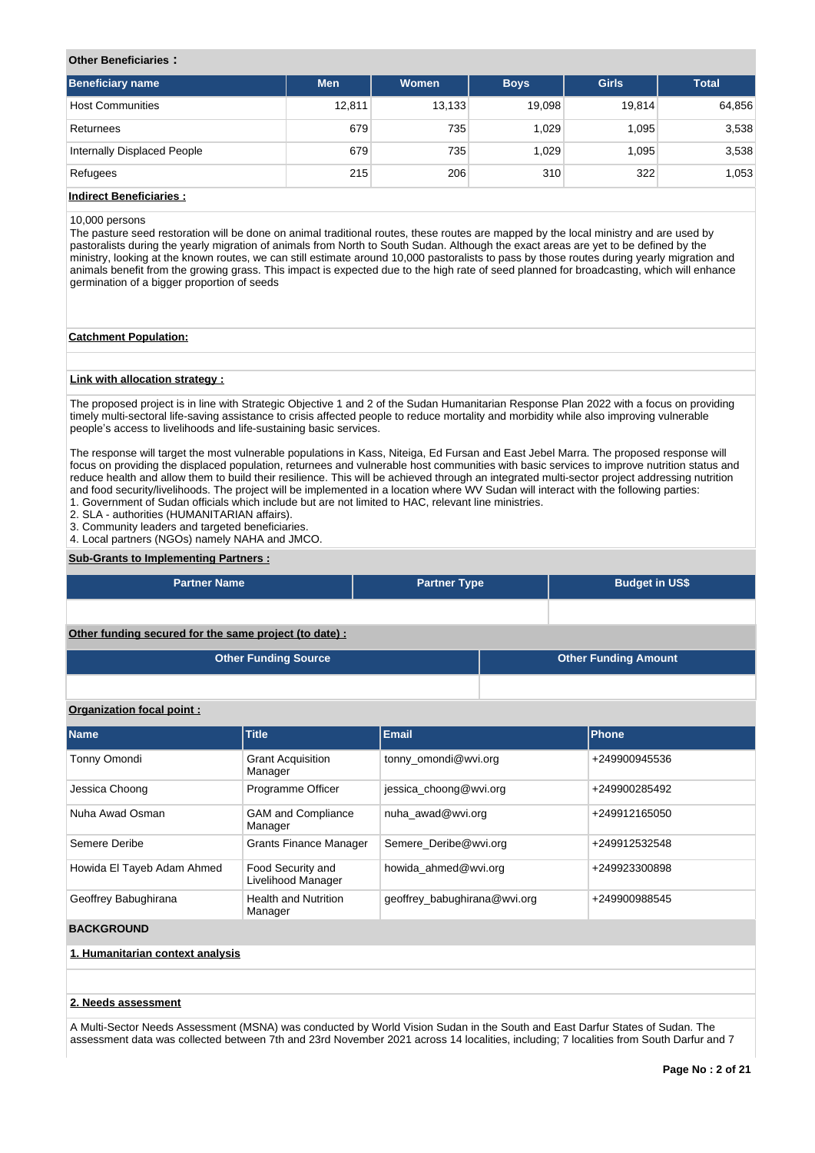# **Other Beneficiaries :**

| <b>Beneficiary name</b>        | <b>Men</b> | Women  | <b>Boys</b> | <b>Girls</b> | <b>Total</b> |
|--------------------------------|------------|--------|-------------|--------------|--------------|
| <b>Host Communities</b>        | 12,811     | 13,133 | 19,098      | 19,814       | 64,856       |
| Returnees                      | 679        | 735    | 1.029       | 1,095        | 3,538        |
| Internally Displaced People    | 679        | 735    | 1.029       | 1.095        | 3,538        |
| Refugees                       | 215        | 206    | 310         | 322          | 1,053        |
| <b>Indirect Beneficiaries:</b> |            |        |             |              |              |

# 10,000 persons

The pasture seed restoration will be done on animal traditional routes, these routes are mapped by the local ministry and are used by pastoralists during the yearly migration of animals from North to South Sudan. Although the exact areas are yet to be defined by the ministry, looking at the known routes, we can still estimate around 10,000 pastoralists to pass by those routes during yearly migration and animals benefit from the growing grass. This impact is expected due to the high rate of seed planned for broadcasting, which will enhance germination of a bigger proportion of seeds

#### **Catchment Population:**

#### **Link with allocation strategy :**

The proposed project is in line with Strategic Objective 1 and 2 of the Sudan Humanitarian Response Plan 2022 with a focus on providing timely multi-sectoral life-saving assistance to crisis affected people to reduce mortality and morbidity while also improving vulnerable people's access to livelihoods and life-sustaining basic services.

The response will target the most vulnerable populations in Kass, Niteiga, Ed Fursan and East Jebel Marra. The proposed response will focus on providing the displaced population, returnees and vulnerable host communities with basic services to improve nutrition status and reduce health and allow them to build their resilience. This will be achieved through an integrated multi-sector project addressing nutrition and food security/livelihoods. The project will be implemented in a location where WV Sudan will interact with the following parties:

1. Government of Sudan officials which include but are not limited to HAC, relevant line ministries.

2. SLA - authorities (HUMANITARIAN affairs).

3. Community leaders and targeted beneficiaries. 4. Local partners (NGOs) namely NAHA and JMCO.

# **Sub-Grants to Implementing Partners :**

| <b>Partner Name</b>                                   | <b>Partner Type</b> |  | <b>Budget in US\$</b>       |
|-------------------------------------------------------|---------------------|--|-----------------------------|
|                                                       |                     |  |                             |
| Other funding secured for the same project (to date): |                     |  |                             |
| <b>Other Funding Source</b>                           |                     |  | <b>Other Funding Amount</b> |

### **Organization focal point :**

| <b>Name</b>                      | Title                                   | <b>Email</b>                 | Phone         |  |  |  |  |
|----------------------------------|-----------------------------------------|------------------------------|---------------|--|--|--|--|
| Tonny Omondi                     | <b>Grant Acquisition</b><br>Manager     | tonny omondi@wvi.org         | +249900945536 |  |  |  |  |
| Jessica Choong                   | Programme Officer                       | jessica choong@wvi.org       | +249900285492 |  |  |  |  |
| Nuha Awad Osman                  | <b>GAM and Compliance</b><br>Manager    | nuha awad@wvi.org            | +249912165050 |  |  |  |  |
| Semere Deribe                    | <b>Grants Finance Manager</b>           | Semere Deribe@wvi.org        | +249912532548 |  |  |  |  |
| Howida El Tayeb Adam Ahmed       | Food Security and<br>Livelihood Manager | howida ahmed@wvi.org         | +249923300898 |  |  |  |  |
| Geoffrey Babughirana             | <b>Health and Nutrition</b><br>Manager  | geoffrey_babughirana@wvi.org | +249900988545 |  |  |  |  |
| <b>BACKGROUND</b>                |                                         |                              |               |  |  |  |  |
| 1. Humanitarian context analysis |                                         |                              |               |  |  |  |  |

#### **2. Needs assessment**

A Multi-Sector Needs Assessment (MSNA) was conducted by World Vision Sudan in the South and East Darfur States of Sudan. The assessment data was collected between 7th and 23rd November 2021 across 14 localities, including; 7 localities from South Darfur and 7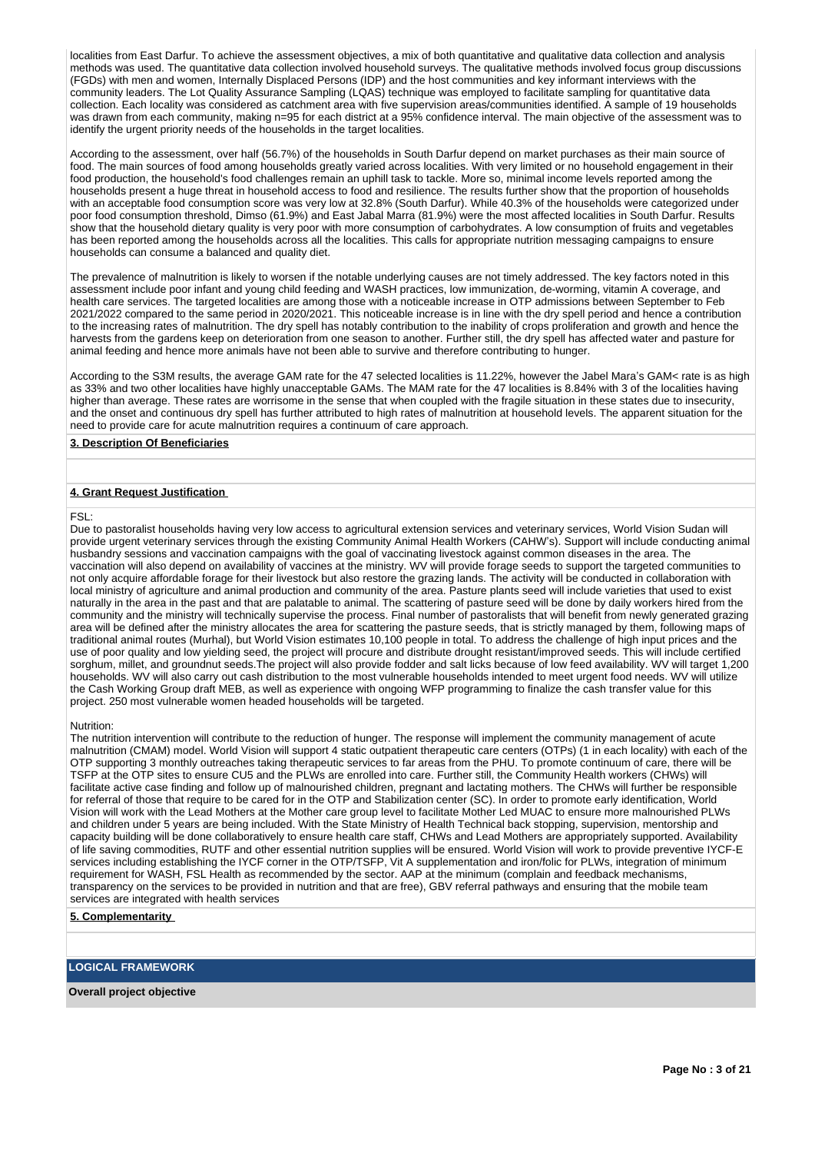localities from East Darfur. To achieve the assessment objectives, a mix of both quantitative and qualitative data collection and analysis methods was used. The quantitative data collection involved household surveys. The qualitative methods involved focus group discussions (FGDs) with men and women, Internally Displaced Persons (IDP) and the host communities and key informant interviews with the community leaders. The Lot Quality Assurance Sampling (LQAS) technique was employed to facilitate sampling for quantitative data collection. Each locality was considered as catchment area with five supervision areas/communities identified. A sample of 19 households was drawn from each community, making n=95 for each district at a 95% confidence interval. The main objective of the assessment was to identify the urgent priority needs of the households in the target localities.

According to the assessment, over half (56.7%) of the households in South Darfur depend on market purchases as their main source of food. The main sources of food among households greatly varied across localities. With very limited or no household engagement in their food production, the household's food challenges remain an uphill task to tackle. More so, minimal income levels reported among the households present a huge threat in household access to food and resilience. The results further show that the proportion of households with an acceptable food consumption score was very low at 32.8% (South Darfur). While 40.3% of the households were categorized under poor food consumption threshold, Dimso (61.9%) and East Jabal Marra (81.9%) were the most affected localities in South Darfur. Results show that the household dietary quality is very poor with more consumption of carbohydrates. A low consumption of fruits and vegetables has been reported among the households across all the localities. This calls for appropriate nutrition messaging campaigns to ensure households can consume a balanced and quality diet.

The prevalence of malnutrition is likely to worsen if the notable underlying causes are not timely addressed. The key factors noted in this assessment include poor infant and young child feeding and WASH practices, low immunization, de-worming, vitamin A coverage, and health care services. The targeted localities are among those with a noticeable increase in OTP admissions between September to Feb 2021/2022 compared to the same period in 2020/2021. This noticeable increase is in line with the dry spell period and hence a contribution to the increasing rates of malnutrition. The dry spell has notably contribution to the inability of crops proliferation and growth and hence the harvests from the gardens keep on deterioration from one season to another. Further still, the dry spell has affected water and pasture for animal feeding and hence more animals have not been able to survive and therefore contributing to hunger.

According to the S3M results, the average GAM rate for the 47 selected localities is 11.22%, however the Jabel Mara's GAM< rate is as high as 33% and two other localities have highly unacceptable GAMs. The MAM rate for the 47 localities is 8.84% with 3 of the localities having higher than average. These rates are worrisome in the sense that when coupled with the fragile situation in these states due to insecurity, and the onset and continuous dry spell has further attributed to high rates of malnutrition at household levels. The apparent situation for the need to provide care for acute malnutrition requires a continuum of care approach.

# **3. Description Of Beneficiaries**

#### **4. Grant Request Justification**

#### FSL:

Due to pastoralist households having very low access to agricultural extension services and veterinary services, World Vision Sudan will provide urgent veterinary services through the existing Community Animal Health Workers (CAHW's). Support will include conducting animal husbandry sessions and vaccination campaigns with the goal of vaccinating livestock against common diseases in the area. The vaccination will also depend on availability of vaccines at the ministry. WV will provide forage seeds to support the targeted communities to not only acquire affordable forage for their livestock but also restore the grazing lands. The activity will be conducted in collaboration with local ministry of agriculture and animal production and community of the area. Pasture plants seed will include varieties that used to exist naturally in the area in the past and that are palatable to animal. The scattering of pasture seed will be done by daily workers hired from the community and the ministry will technically supervise the process. Final number of pastoralists that will benefit from newly generated grazing area will be defined after the ministry allocates the area for scattering the pasture seeds, that is strictly managed by them, following maps of traditional animal routes (Murhal), but World Vision estimates 10,100 people in total. To address the challenge of high input prices and the use of poor quality and low yielding seed, the project will procure and distribute drought resistant/improved seeds. This will include certified sorghum, millet, and groundnut seeds.The project will also provide fodder and salt licks because of low feed availability. WV will target 1,200 households. WV will also carry out cash distribution to the most vulnerable households intended to meet urgent food needs. WV will utilize the Cash Working Group draft MEB, as well as experience with ongoing WFP programming to finalize the cash transfer value for this project. 250 most vulnerable women headed households will be targeted.

#### Nutrition:

The nutrition intervention will contribute to the reduction of hunger. The response will implement the community management of acute malnutrition (CMAM) model. World Vision will support 4 static outpatient therapeutic care centers (OTPs) (1 in each locality) with each of the OTP supporting 3 monthly outreaches taking therapeutic services to far areas from the PHU. To promote continuum of care, there will be TSFP at the OTP sites to ensure CU5 and the PLWs are enrolled into care. Further still, the Community Health workers (CHWs) will facilitate active case finding and follow up of malnourished children, pregnant and lactating mothers. The CHWs will further be responsible for referral of those that require to be cared for in the OTP and Stabilization center (SC). In order to promote early identification, World Vision will work with the Lead Mothers at the Mother care group level to facilitate Mother Led MUAC to ensure more malnourished PLWs and children under 5 years are being included. With the State Ministry of Health Technical back stopping, supervision, mentorship and capacity building will be done collaboratively to ensure health care staff, CHWs and Lead Mothers are appropriately supported. Availability of life saving commodities, RUTF and other essential nutrition supplies will be ensured. World Vision will work to provide preventive IYCF-E services including establishing the IYCF corner in the OTP/TSFP, Vit A supplementation and iron/folic for PLWs, integration of minimum requirement for WASH, FSL Health as recommended by the sector. AAP at the minimum (complain and feedback mechanisms, transparency on the services to be provided in nutrition and that are free), GBV referral pathways and ensuring that the mobile team services are integrated with health services

#### **5. Complementarity**

**LOGICAL FRAMEWORK**

**Overall project objective**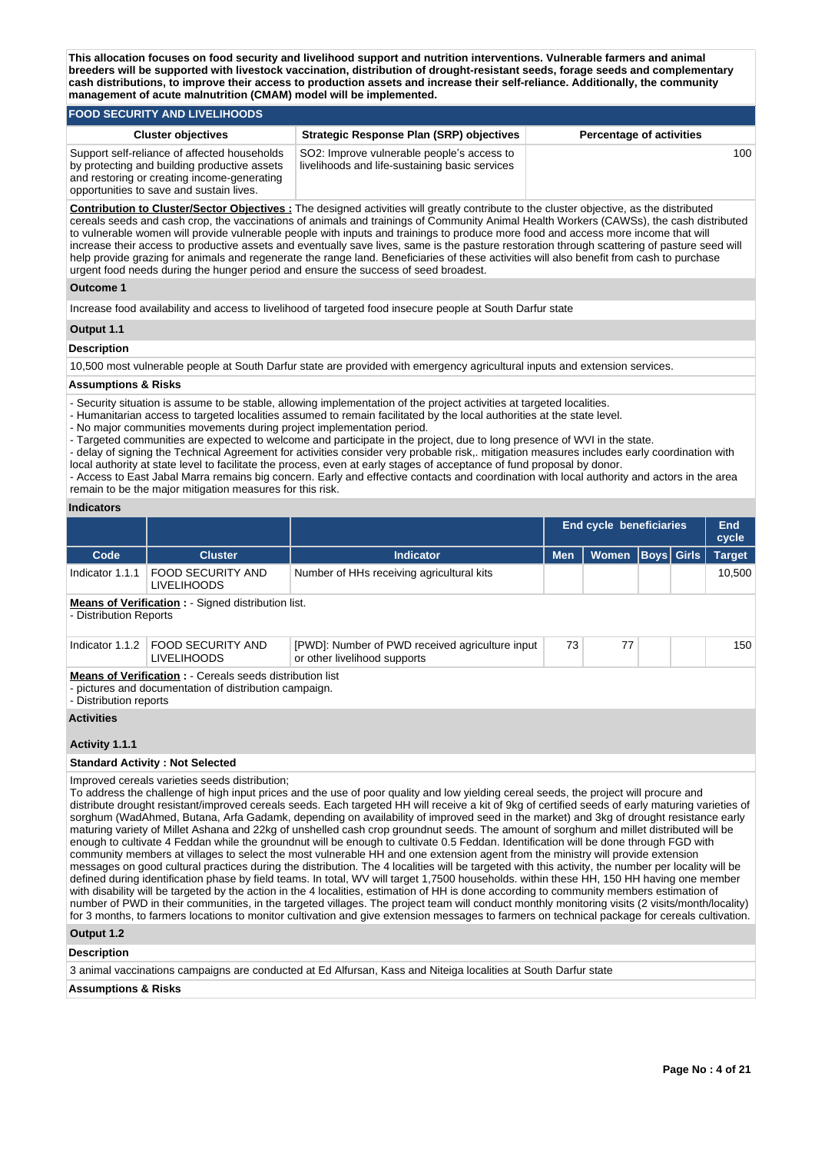**This allocation focuses on food security and livelihood support and nutrition interventions. Vulnerable farmers and animal breeders will be supported with livestock vaccination, distribution of drought-resistant seeds, forage seeds and complementary cash distributions, to improve their access to production assets and increase their self-reliance. Additionally, the community management of acute malnutrition (CMAM) model will be implemented.** 

#### **FOOD SECURITY AND LIVELIHOODS Cluster objectives Strategic Response Plan (SRP) objectives Percentage of activities** Support self-reliance of affected households by protecting and building productive assets and restoring or creating income-generating opportunities to save and sustain lives. SO2: Improve vulnerable people's access to livelihoods and life-sustaining basic services 100

**Contribution to Cluster/Sector Objectives :** The designed activities will greatly contribute to the cluster objective, as the distributed cereals seeds and cash crop, the vaccinations of animals and trainings of Community Animal Health Workers (CAWSs), the cash distributed to vulnerable women will provide vulnerable people with inputs and trainings to produce more food and access more income that will increase their access to productive assets and eventually save lives, same is the pasture restoration through scattering of pasture seed will help provide grazing for animals and regenerate the range land. Beneficiaries of these activities will also benefit from cash to purchase urgent food needs during the hunger period and ensure the success of seed broadest.

# **Outcome 1**

Increase food availability and access to livelihood of targeted food insecure people at South Darfur state

#### **Output 1.1**

#### **Description**

10,500 most vulnerable people at South Darfur state are provided with emergency agricultural inputs and extension services.

#### **Assumptions & Risks**

- Security situation is assume to be stable, allowing implementation of the project activities at targeted localities.

- Humanitarian access to targeted localities assumed to remain facilitated by the local authorities at the state level.

- No major communities movements during project implementation period.

- Targeted communities are expected to welcome and participate in the project, due to long presence of WVI in the state.

- delay of signing the Technical Agreement for activities consider very probable risk,. mitigation measures includes early coordination with local authority at state level to facilitate the process, even at early stages of acceptance of fund proposal by donor.

- Access to East Jabal Marra remains big concern. Early and effective contacts and coordination with local authority and actors in the area remain to be the major mitigation measures for this risk.

# **Indicators**

|                                             |                                                                                                                            |                                                                                                                                                                                                                                                                                                                                                                                                                                                                                                                                                                                                                                                                                                                                                                                                                                                                                                                                                                                                                                                                                                                                                                                                                                                                                                                                                                                                                                                              | End cycle beneficiaries | <b>End</b><br>cycle |                   |  |               |
|---------------------------------------------|----------------------------------------------------------------------------------------------------------------------------|--------------------------------------------------------------------------------------------------------------------------------------------------------------------------------------------------------------------------------------------------------------------------------------------------------------------------------------------------------------------------------------------------------------------------------------------------------------------------------------------------------------------------------------------------------------------------------------------------------------------------------------------------------------------------------------------------------------------------------------------------------------------------------------------------------------------------------------------------------------------------------------------------------------------------------------------------------------------------------------------------------------------------------------------------------------------------------------------------------------------------------------------------------------------------------------------------------------------------------------------------------------------------------------------------------------------------------------------------------------------------------------------------------------------------------------------------------------|-------------------------|---------------------|-------------------|--|---------------|
| Code                                        | <b>Cluster</b>                                                                                                             | Indicator                                                                                                                                                                                                                                                                                                                                                                                                                                                                                                                                                                                                                                                                                                                                                                                                                                                                                                                                                                                                                                                                                                                                                                                                                                                                                                                                                                                                                                                    | <b>Men</b>              | <b>Women</b>        | <b>Boys Girls</b> |  | <b>Target</b> |
| Indicator 1.1.1                             | <b>FOOD SECURITY AND</b><br><b>LIVELIHOODS</b>                                                                             | Number of HHs receiving agricultural kits                                                                                                                                                                                                                                                                                                                                                                                                                                                                                                                                                                                                                                                                                                                                                                                                                                                                                                                                                                                                                                                                                                                                                                                                                                                                                                                                                                                                                    |                         |                     |                   |  | 10,500        |
| - Distribution Reports                      | <b>Means of Verification : - Signed distribution list.</b>                                                                 |                                                                                                                                                                                                                                                                                                                                                                                                                                                                                                                                                                                                                                                                                                                                                                                                                                                                                                                                                                                                                                                                                                                                                                                                                                                                                                                                                                                                                                                              |                         |                     |                   |  |               |
| Indicator 1.1.2                             | FOOD SECURITY AND<br><b>LIVELIHOODS</b>                                                                                    | [PWD]: Number of PWD received agriculture input<br>or other livelihood supports                                                                                                                                                                                                                                                                                                                                                                                                                                                                                                                                                                                                                                                                                                                                                                                                                                                                                                                                                                                                                                                                                                                                                                                                                                                                                                                                                                              | 73                      | 77                  |                   |  | 150           |
| - Distribution reports<br><b>Activities</b> | <b>Means of Verification : - Cereals seeds distribution list</b><br>- pictures and documentation of distribution campaign. |                                                                                                                                                                                                                                                                                                                                                                                                                                                                                                                                                                                                                                                                                                                                                                                                                                                                                                                                                                                                                                                                                                                                                                                                                                                                                                                                                                                                                                                              |                         |                     |                   |  |               |
| Activity 1.1.1                              |                                                                                                                            |                                                                                                                                                                                                                                                                                                                                                                                                                                                                                                                                                                                                                                                                                                                                                                                                                                                                                                                                                                                                                                                                                                                                                                                                                                                                                                                                                                                                                                                              |                         |                     |                   |  |               |
|                                             | <b>Standard Activity: Not Selected</b>                                                                                     |                                                                                                                                                                                                                                                                                                                                                                                                                                                                                                                                                                                                                                                                                                                                                                                                                                                                                                                                                                                                                                                                                                                                                                                                                                                                                                                                                                                                                                                              |                         |                     |                   |  |               |
|                                             | Improved cereals varieties seeds distribution;                                                                             | To address the challenge of high input prices and the use of poor quality and low yielding cereal seeds, the project will procure and<br>distribute drought resistant/improved cereals seeds. Each targeted HH will receive a kit of 9kg of certified seeds of early maturing varieties of<br>sorghum (WadAhmed, Butana, Arfa Gadamk, depending on availability of improved seed in the market) and 3kg of drought resistance early<br>maturing variety of Millet Ashana and 22kg of unshelled cash crop groundnut seeds. The amount of sorghum and millet distributed will be<br>enough to cultivate 4 Feddan while the groundnut will be enough to cultivate 0.5 Feddan. Identification will be done through FGD with<br>community members at villages to select the most vulnerable HH and one extension agent from the ministry will provide extension<br>messages on good cultural practices during the distribution. The 4 localities will be targeted with this activity, the number per locality will be<br>defined during identification phase by field teams. In total, WV will target 1,7500 households. within these HH, 150 HH having one member<br>with disability will be targeted by the action in the 4 localities, estimation of HH is done according to community members estimation of<br>pumber of PWD in their communities in the targeted villages. The project team will conduct monthly monitoring visits (2 visits/month/locality) |                         |                     |                   |  |               |

communities, in the targeted villages. The project team will conduct monthly monitoring visits ( for 3 months, to farmers locations to monitor cultivation and give extension messages to farmers on technical package for cereals cultivation.

# **Output 1.2**

# **Description**

3 animal vaccinations campaigns are conducted at Ed Alfursan, Kass and Niteiga localities at South Darfur state

#### **Assumptions & Risks**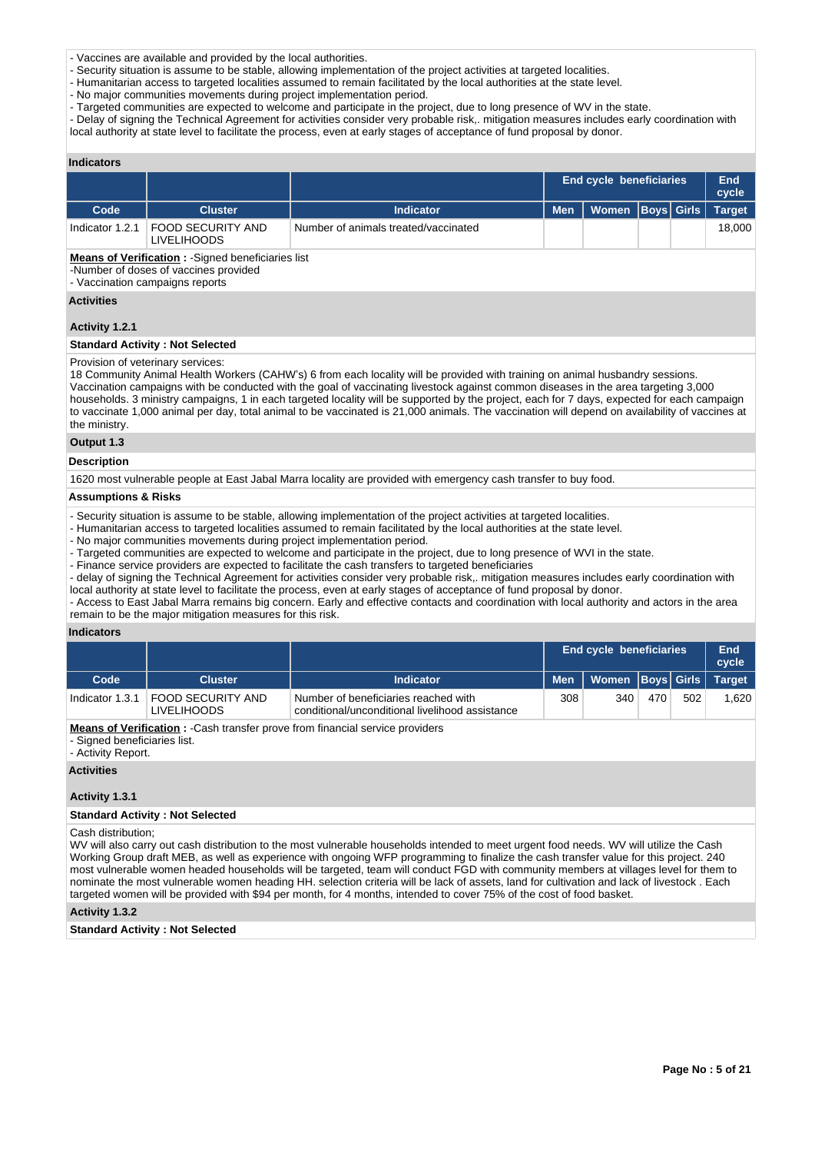- Vaccines are available and provided by the local authorities.

- Security situation is assume to be stable, allowing implementation of the project activities at targeted localities.

- Humanitarian access to targeted localities assumed to remain facilitated by the local authorities at the state level.

- No major communities movements during project implementation period.

- Targeted communities are expected to welcome and participate in the project, due to long presence of WV in the state.

- Delay of signing the Technical Agreement for activities consider very probable risk,. mitigation measures includes early coordination with local authority at state level to facilitate the process, even at early stages of acceptance of fund proposal by donor.

| <b>Indicators</b>              |                                                                                                                                       |                                                                                                                                                                                                                                                                                                                                                                                                                                                                                                                                                                      |            |                                |  |                   |               |
|--------------------------------|---------------------------------------------------------------------------------------------------------------------------------------|----------------------------------------------------------------------------------------------------------------------------------------------------------------------------------------------------------------------------------------------------------------------------------------------------------------------------------------------------------------------------------------------------------------------------------------------------------------------------------------------------------------------------------------------------------------------|------------|--------------------------------|--|-------------------|---------------|
|                                |                                                                                                                                       |                                                                                                                                                                                                                                                                                                                                                                                                                                                                                                                                                                      |            | <b>End cycle beneficiaries</b> |  |                   |               |
| Code                           | <b>Cluster</b>                                                                                                                        | <b>Indicator</b>                                                                                                                                                                                                                                                                                                                                                                                                                                                                                                                                                     | <b>Men</b> | <b>Women</b>                   |  | <b>Boys</b> Girls | <b>Target</b> |
| Indicator 1.2.1                | FOOD SECURITY AND<br><b>LIVELIHOODS</b>                                                                                               | Number of animals treated/vaccinated                                                                                                                                                                                                                                                                                                                                                                                                                                                                                                                                 |            |                                |  |                   | 18,000        |
|                                | <b>Means of Verification: - Signed beneficiaries list</b><br>-Number of doses of vaccines provided<br>- Vaccination campaigns reports |                                                                                                                                                                                                                                                                                                                                                                                                                                                                                                                                                                      |            |                                |  |                   |               |
| <b>Activities</b>              |                                                                                                                                       |                                                                                                                                                                                                                                                                                                                                                                                                                                                                                                                                                                      |            |                                |  |                   |               |
| Activity 1.2.1                 |                                                                                                                                       |                                                                                                                                                                                                                                                                                                                                                                                                                                                                                                                                                                      |            |                                |  |                   |               |
|                                | <b>Standard Activity: Not Selected</b>                                                                                                |                                                                                                                                                                                                                                                                                                                                                                                                                                                                                                                                                                      |            |                                |  |                   |               |
| the ministry.                  | Provision of veterinary services:                                                                                                     | 18 Community Animal Health Workers (CAHW's) 6 from each locality will be provided with training on animal husbandry sessions.<br>Vaccination campaigns with be conducted with the goal of vaccinating livestock against common diseases in the area targeting 3,000<br>households. 3 ministry campaigns, 1 in each targeted locality will be supported by the project, each for 7 days, expected for each campaign<br>to vaccinate 1,000 animal per day, total animal to be vaccinated is 21,000 animals. The vaccination will depend on availability of vaccines at |            |                                |  |                   |               |
| Output 1.3                     |                                                                                                                                       |                                                                                                                                                                                                                                                                                                                                                                                                                                                                                                                                                                      |            |                                |  |                   |               |
| <b>Description</b>             |                                                                                                                                       |                                                                                                                                                                                                                                                                                                                                                                                                                                                                                                                                                                      |            |                                |  |                   |               |
|                                |                                                                                                                                       | 1620 most vulnerable people at East Jabal Marra locality are provided with emergency cash transfer to buy food.                                                                                                                                                                                                                                                                                                                                                                                                                                                      |            |                                |  |                   |               |
| <b>Assumptions &amp; Risks</b> |                                                                                                                                       |                                                                                                                                                                                                                                                                                                                                                                                                                                                                                                                                                                      |            |                                |  |                   |               |
|                                |                                                                                                                                       | rende and the second contract of the second contract of the second contract of the second contract of the second                                                                                                                                                                                                                                                                                                                                                                                                                                                     |            |                                |  |                   |               |

- Security situation is assume to be stable, allowing implementation of the project activities at targeted localities.

- Humanitarian access to targeted localities assumed to remain facilitated by the local authorities at the state level.

- No major communities movements during project implementation period.

- Targeted communities are expected to welcome and participate in the project, due to long presence of WVI in the state.

- Finance service providers are expected to facilitate the cash transfers to targeted beneficiaries

- delay of signing the Technical Agreement for activities consider very probable risk,. mitigation measures includes early coordination with local authority at state level to facilitate the process, even at early stages of acceptance of fund proposal by donor.

- Access to East Jabal Marra remains big concern. Early and effective contacts and coordination with local authority and actors in the area remain to be the major mitigation measures for this risk.

#### **Indicators**

|                 |                                  |                                                                                         |     | <b>End cycle beneficiaries</b>      |     |     |       |
|-----------------|----------------------------------|-----------------------------------------------------------------------------------------|-----|-------------------------------------|-----|-----|-------|
| Code            | <b>Cluster</b>                   | <b>Indicator</b>                                                                        |     | Men   Women   Boys   Girls   Target |     |     |       |
| Indicator 1.3.1 | FOOD SECURITY AND<br>LIVELIHOODS | Number of beneficiaries reached with<br>conditional/unconditional livelihood assistance | 308 | 340                                 | 470 | 502 | 1.620 |

**Means of Verification :** -Cash transfer prove from financial service providers

- Signed beneficiaries list.

- Activity Report.

**Activities**

# **Activity 1.3.1**

#### **Standard Activity : Not Selected**

Cash distribution;

WV will also carry out cash distribution to the most vulnerable households intended to meet urgent food needs. WV will utilize the Cash Working Group draft MEB, as well as experience with ongoing WFP programming to finalize the cash transfer value for this project. 240 most vulnerable women headed households will be targeted, team will conduct FGD with community members at villages level for them to nominate the most vulnerable women heading HH. selection criteria will be lack of assets, land for cultivation and lack of livestock . Each targeted women will be provided with \$94 per month, for 4 months, intended to cover 75% of the cost of food basket.

#### **Activity 1.3.2**

**Standard Activity : Not Selected**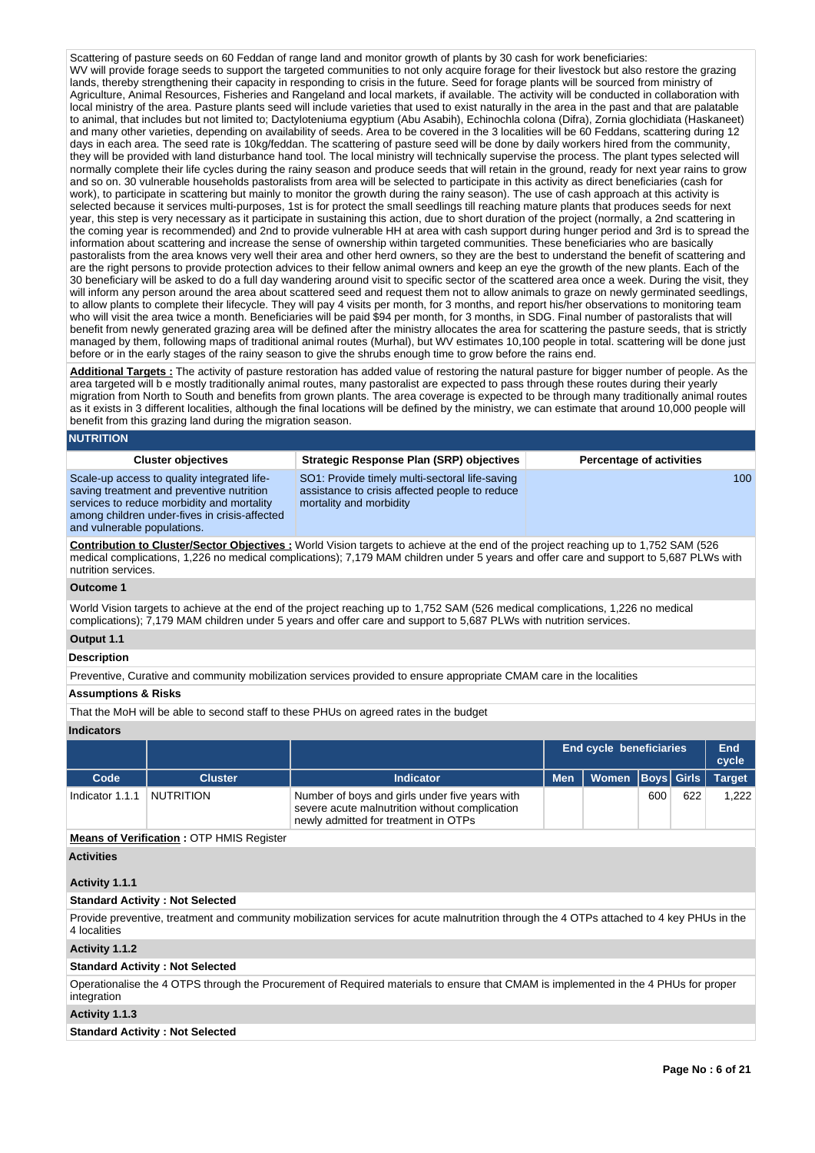Scattering of pasture seeds on 60 Feddan of range land and monitor growth of plants by 30 cash for work beneficiaries: WV will provide forage seeds to support the targeted communities to not only acquire forage for their livestock but also restore the grazing lands, thereby strengthening their capacity in responding to crisis in the future. Seed for forage plants will be sourced from ministry of Agriculture, Animal Resources, Fisheries and Rangeland and local markets, if available. The activity will be conducted in collaboration with local ministry of the area. Pasture plants seed will include varieties that used to exist naturally in the area in the past and that are palatable to animal, that includes but not limited to; Dactyloteniuma egyptium (Abu Asabih), Echinochla colona (Difra), Zornia glochidiata (Haskaneet) and many other varieties, depending on availability of seeds. Area to be covered in the 3 localities will be 60 Feddans, scattering during 12 days in each area. The seed rate is 10kg/feddan. The scattering of pasture seed will be done by daily workers hired from the community, they will be provided with land disturbance hand tool. The local ministry will technically supervise the process. The plant types selected will normally complete their life cycles during the rainy season and produce seeds that will retain in the ground, ready for next year rains to grow and so on. 30 vulnerable households pastoralists from area will be selected to participate in this activity as direct beneficiaries (cash for work), to participate in scattering but mainly to monitor the growth during the rainy season). The use of cash approach at this activity is selected because it services multi-purposes, 1st is for protect the small seedlings till reaching mature plants that produces seeds for next year, this step is very necessary as it participate in sustaining this action, due to short duration of the project (normally, a 2nd scattering in the coming year is recommended) and 2nd to provide vulnerable HH at area with cash support during hunger period and 3rd is to spread the information about scattering and increase the sense of ownership within targeted communities. These beneficiaries who are basically pastoralists from the area knows very well their area and other herd owners, so they are the best to understand the benefit of scattering and are the right persons to provide protection advices to their fellow animal owners and keep an eye the growth of the new plants. Each of the 30 beneficiary will be asked to do a full day wandering around visit to specific sector of the scattered area once a week. During the visit, they will inform any person around the area about scattered seed and request them not to allow animals to graze on newly germinated seedlings, to allow plants to complete their lifecycle. They will pay 4 visits per month, for 3 months, and report his/her observations to monitoring team who will visit the area twice a month. Beneficiaries will be paid \$94 per month, for 3 months, in SDG. Final number of pastoralists that will benefit from newly generated grazing area will be defined after the ministry allocates the area for scattering the pasture seeds, that is strictly managed by them, following maps of traditional animal routes (Murhal), but WV estimates 10,100 people in total. scattering will be done just before or in the early stages of the rainy season to give the shrubs enough time to grow before the rains end.

**Additional Targets :** The activity of pasture restoration has added value of restoring the natural pasture for bigger number of people. As the area targeted will b e mostly traditionally animal routes, many pastoralist are expected to pass through these routes during their yearly migration from North to South and benefits from grown plants. The area coverage is expected to be through many traditionally animal routes as it exists in 3 different localities, although the final locations will be defined by the ministry, we can estimate that around 10,000 people will benefit from this grazing land during the migration season.

#### **NUTRITION**

| <b>Cluster objectives</b>                                                                                                                                                                                              | <b>Strategic Response Plan (SRP) objectives</b>                                                                             | <b>Percentage of activities</b> |
|------------------------------------------------------------------------------------------------------------------------------------------------------------------------------------------------------------------------|-----------------------------------------------------------------------------------------------------------------------------|---------------------------------|
| Scale-up access to quality integrated life-<br>saving treatment and preventive nutrition<br>services to reduce morbidity and mortality<br>among children under-fives in crisis-affected<br>and vulnerable populations. | SO1: Provide timely multi-sectoral life-saving<br>assistance to crisis affected people to reduce<br>mortality and morbidity | 100 <sup>1</sup>                |
|                                                                                                                                                                                                                        | .                                                                                                                           |                                 |

**Contribution to Cluster/Sector Objectives :** World Vision targets to achieve at the end of the project reaching up to 1,752 SAM (526 medical complications, 1,226 no medical complications); 7,179 MAM children under 5 years and offer care and support to 5,687 PLWs with nutrition services.

#### **Outcome 1**

World Vision targets to achieve at the end of the project reaching up to 1,752 SAM (526 medical complications, 1,226 no medical complications); 7,179 MAM children under 5 years and offer care and support to 5,687 PLWs with nutrition services.

## **Output 1.1**

#### **Description**

Preventive, Curative and community mobilization services provided to ensure appropriate CMAM care in the localities

#### **Assumptions & Risks**

That the MoH will be able to second staff to these PHUs on agreed rates in the budget

#### **Indicators**

|                 |                |                                                                                                                                          |            | <b>End cycle beneficiaries</b> |     |     |               |
|-----------------|----------------|------------------------------------------------------------------------------------------------------------------------------------------|------------|--------------------------------|-----|-----|---------------|
| Code            | <b>Cluster</b> | Indicator                                                                                                                                | <b>Men</b> | Women   Boys   Girls           |     |     | <b>Target</b> |
| Indicator 1.1.1 | NUTRITION      | Number of boys and girls under five years with<br>severe acute malnutrition without complication<br>newly admitted for treatment in OTPs |            |                                | 600 | 622 | 1.222         |

**Means of Verification :** OTP HMIS Register

# **Activities**

# **Activity 1.1.1**

# **Standard Activity : Not Selected**

Provide preventive, treatment and community mobilization services for acute malnutrition through the 4 OTPs attached to 4 key PHUs in the 4 localities

## **Activity 1.1.2**

# **Standard Activity : Not Selected**

Operationalise the 4 OTPS through the Procurement of Required materials to ensure that CMAM is implemented in the 4 PHUs for proper integration

# **Activity 1.1.3**

**Standard Activity : Not Selected**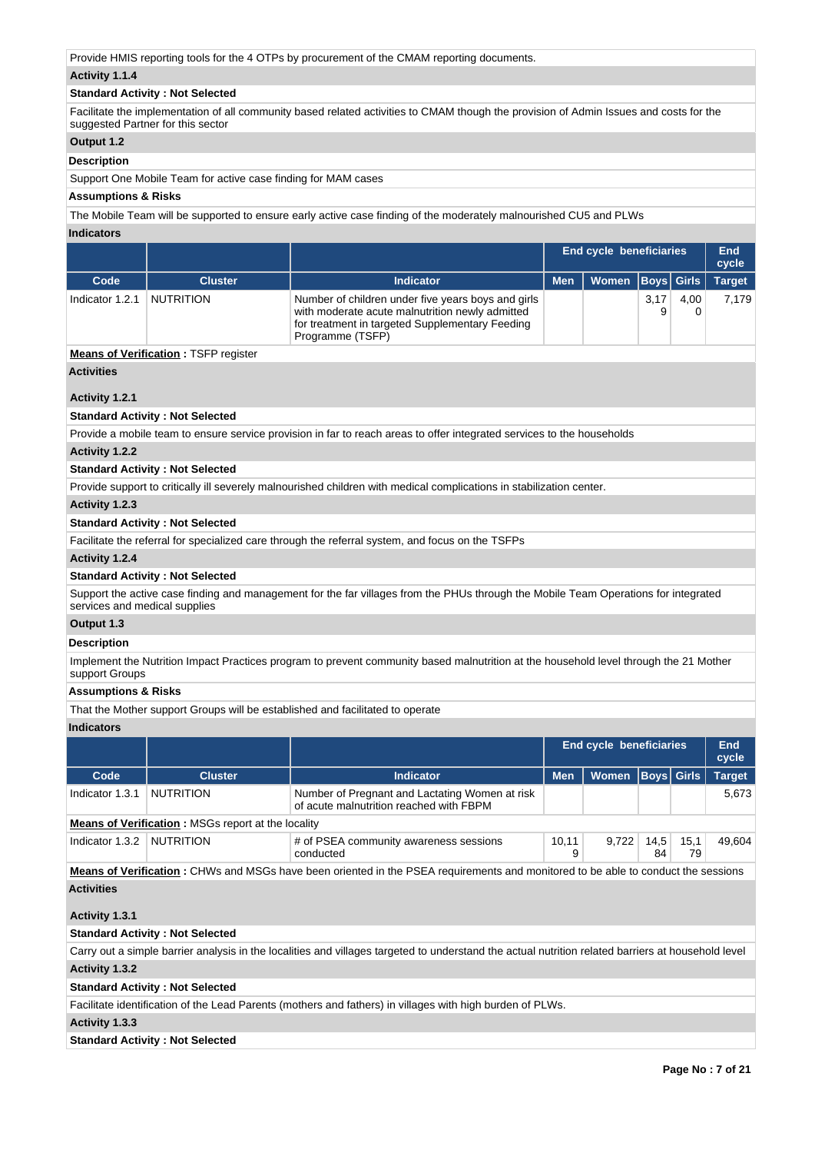Provide HMIS reporting tools for the 4 OTPs by procurement of the CMAM reporting documents.

# **Activity 1.1.4**

# **Standard Activity : Not Selected**

Facilitate the implementation of all community based related activities to CMAM though the provision of Admin Issues and costs for the suggested Partner for this sector

# **Output 1.2**

#### **Description**

Support One Mobile Team for active case finding for MAM cases

# **Assumptions & Risks**

The Mobile Team will be supported to ensure early active case finding of the moderately malnourished CU5 and PLWs

**Indicators**

|                 |                |                                                                                                                                                                              |            | <b>End cycle beneficiaries</b> |      |      |               |
|-----------------|----------------|------------------------------------------------------------------------------------------------------------------------------------------------------------------------------|------------|--------------------------------|------|------|---------------|
| Code            | <b>Cluster</b> | Indicator                                                                                                                                                                    | <b>Men</b> | Women   Boys   Girls           |      |      | <b>Target</b> |
| Indicator 1.2.1 | NUTRITION      | Number of children under five years boys and girls<br>with moderate acute malnutrition newly admitted<br>for treatment in targeted Supplementary Feeding<br>Programme (TSFP) |            |                                | 3,17 | 4,00 | 7.179         |

# **Means of Verification : TSFP register**

# **Activities**

# **Activity 1.2.1**

# **Standard Activity : Not Selected**

Provide a mobile team to ensure service provision in far to reach areas to offer integrated services to the households

#### **Activity 1.2.2**

# **Standard Activity : Not Selected**

Provide support to critically ill severely malnourished children with medical complications in stabilization center.

### **Activity 1.2.3**

# **Standard Activity : Not Selected**

Facilitate the referral for specialized care through the referral system, and focus on the TSFPs

# **Activity 1.2.4**

# **Standard Activity : Not Selected**

Support the active case finding and management for the far villages from the PHUs through the Mobile Team Operations for integrated services and medical supplies

# **Output 1.3**

# **Description**

Implement the Nutrition Impact Practices program to prevent community based malnutrition at the household level through the 21 Mother support Groups

### **Assumptions & Risks**

That the Mother support Groups will be established and facilitated to operate

# **Indicators**

|                           |                                                                                                                                   |                                                                                           | End cycle beneficiaries |                      |            |            | End<br>cycle  |  |  |  |
|---------------------------|-----------------------------------------------------------------------------------------------------------------------------------|-------------------------------------------------------------------------------------------|-------------------------|----------------------|------------|------------|---------------|--|--|--|
| Code                      | <b>Cluster</b>                                                                                                                    | Indicator                                                                                 | <b>Men</b>              | Women   Boys   Girls |            |            | <b>Target</b> |  |  |  |
| Indicator 1.3.1           | NUTRITION                                                                                                                         | Number of Pregnant and Lactating Women at risk<br>of acute malnutrition reached with FBPM |                         |                      |            |            | 5.673         |  |  |  |
|                           | <b>Means of Verification:</b> MSGs report at the locality                                                                         |                                                                                           |                         |                      |            |            |               |  |  |  |
| Indicator 1.3.2 NUTRITION |                                                                                                                                   | # of PSEA community awareness sessions<br>conducted                                       | 10,11                   | 9,722                | 14,5<br>84 | 15,1<br>79 | 49.604        |  |  |  |
|                           | Means of Verification: CHWs and MSGs have been oriented in the PSEA requirements and monitored to be able to conduct the sessions |                                                                                           |                         |                      |            |            |               |  |  |  |

# **Activities**

# **Activity 1.3.1**

#### **Standard Activity : Not Selected**

Carry out a simple barrier analysis in the localities and villages targeted to understand the actual nutrition related barriers at household level **Activity 1.3.2** 

# **Standard Activity : Not Selected**

Facilitate identification of the Lead Parents (mothers and fathers) in villages with high burden of PLWs.

# **Activity 1.3.3**

#### **Standard Activity : Not Selected**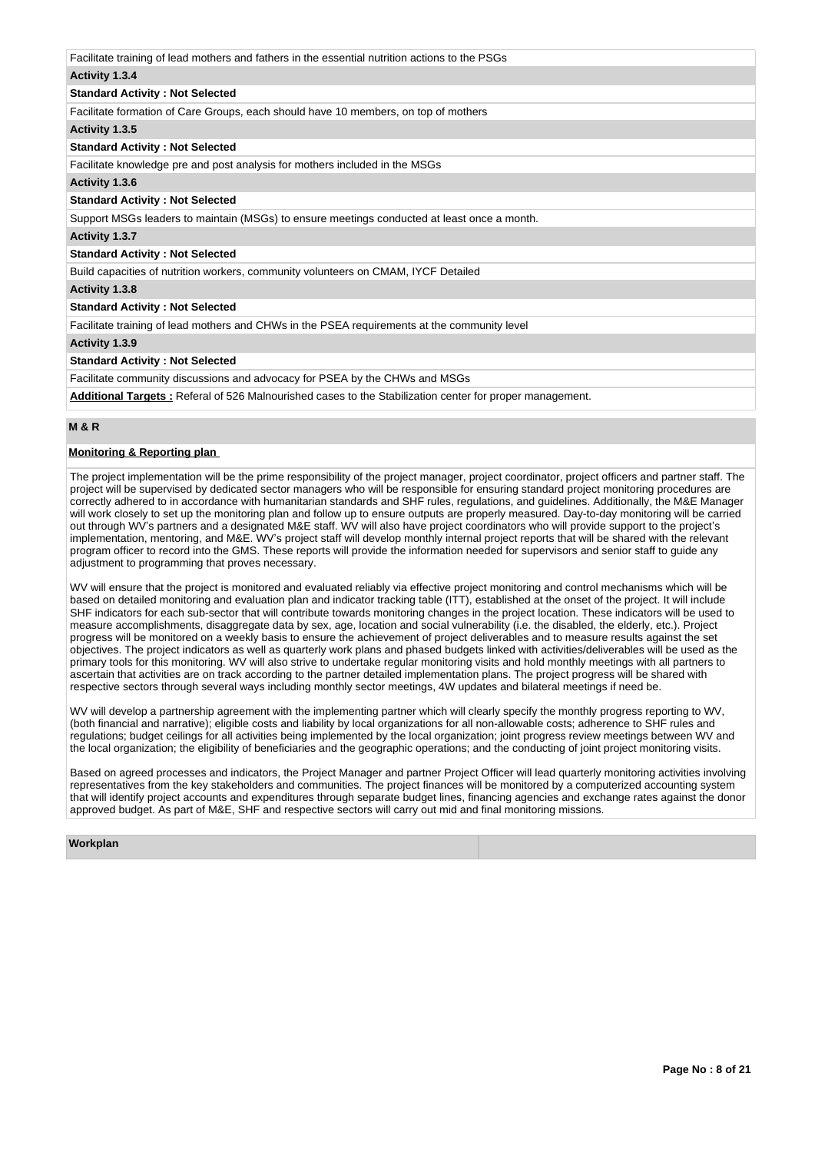| Facilitate training of lead mothers and fathers in the essential nutrition actions to the PSGs |
|------------------------------------------------------------------------------------------------|
| Activity 1.3.4                                                                                 |
| <b>Standard Activity: Not Selected</b>                                                         |
| Facilitate formation of Care Groups, each should have 10 members, on top of mothers            |
| Activity 1.3.5                                                                                 |
| <b>Standard Activity: Not Selected</b>                                                         |
| Facilitate knowledge pre and post analysis for mothers included in the MSGs                    |
| Activity 1.3.6                                                                                 |
| <b>Standard Activity: Not Selected</b>                                                         |
| Support MSGs leaders to maintain (MSGs) to ensure meetings conducted at least once a month.    |
| Activity 1.3.7                                                                                 |
| <b>Standard Activity: Not Selected</b>                                                         |
| Build capacities of nutrition workers, community volunteers on CMAM, IYCF Detailed             |
| Activity 1.3.8                                                                                 |
| <b>Standard Activity: Not Selected</b>                                                         |
| Facilitate training of lead mothers and CHWs in the PSEA requirements at the community level   |
| Activity 1.3.9                                                                                 |
| <b>Standard Activity: Not Selected</b>                                                         |
| Facilitate community discussions and advocacy for PSEA by the CHWs and MSGs                    |
|                                                                                                |

**Additional Targets :** Referal of 526 Malnourished cases to the Stabilization center for proper management.

# **M & R**

# **Monitoring & Reporting plan**

The project implementation will be the prime responsibility of the project manager, project coordinator, project officers and partner staff. The project will be supervised by dedicated sector managers who will be responsible for ensuring standard project monitoring procedures are correctly adhered to in accordance with humanitarian standards and SHF rules, regulations, and guidelines. Additionally, the M&E Manager will work closely to set up the monitoring plan and follow up to ensure outputs are properly measured. Day-to-day monitoring will be carried out through WV's partners and a designated M&E staff. WV will also have project coordinators who will provide support to the project's implementation, mentoring, and M&E. WV's project staff will develop monthly internal project reports that will be shared with the relevant program officer to record into the GMS. These reports will provide the information needed for supervisors and senior staff to guide any adjustment to programming that proves necessary.

WV will ensure that the project is monitored and evaluated reliably via effective project monitoring and control mechanisms which will be based on detailed monitoring and evaluation plan and indicator tracking table (ITT), established at the onset of the project. It will include SHF indicators for each sub-sector that will contribute towards monitoring changes in the project location. These indicators will be used to measure accomplishments, disaggregate data by sex, age, location and social vulnerability (i.e. the disabled, the elderly, etc.). Project progress will be monitored on a weekly basis to ensure the achievement of project deliverables and to measure results against the set objectives. The project indicators as well as quarterly work plans and phased budgets linked with activities/deliverables will be used as the primary tools for this monitoring. WV will also strive to undertake regular monitoring visits and hold monthly meetings with all partners to ascertain that activities are on track according to the partner detailed implementation plans. The project progress will be shared with respective sectors through several ways including monthly sector meetings, 4W updates and bilateral meetings if need be.

WV will develop a partnership agreement with the implementing partner which will clearly specify the monthly progress reporting to WV, (both financial and narrative); eligible costs and liability by local organizations for all non-allowable costs; adherence to SHF rules and regulations; budget ceilings for all activities being implemented by the local organization; joint progress review meetings between WV and the local organization; the eligibility of beneficiaries and the geographic operations; and the conducting of joint project monitoring visits.

Based on agreed processes and indicators, the Project Manager and partner Project Officer will lead quarterly monitoring activities involving representatives from the key stakeholders and communities. The project finances will be monitored by a computerized accounting system that will identify project accounts and expenditures through separate budget lines, financing agencies and exchange rates against the donor approved budget. As part of M&E, SHF and respective sectors will carry out mid and final monitoring missions.

**Workplan**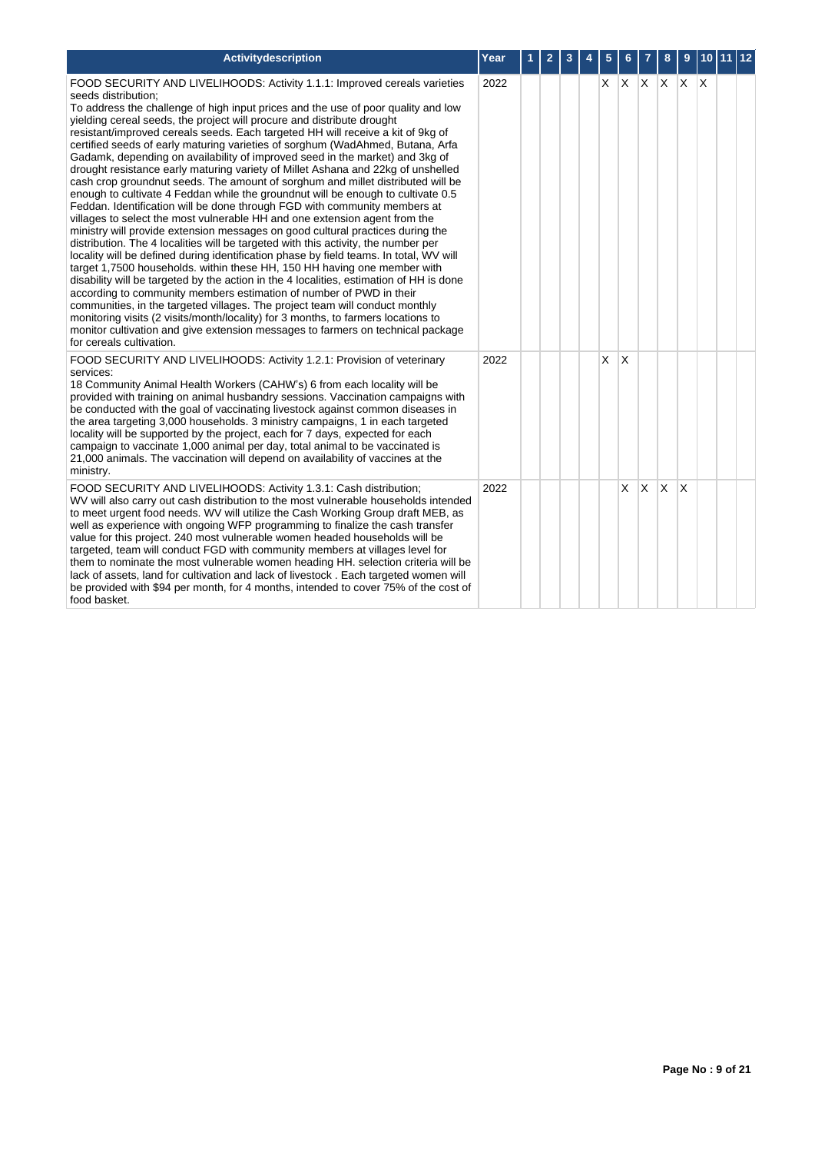| Activitydescription                                                                                                                                                                                                                                                                                                                                                                                                                                                                                                                                                                                                                                                                                                                                                                                                                                                                                                                                                                                                                                                                                                                                                                                                                                                                                                                                                                                                                                                                                                                                                                                                                                                                                                                            | Year | 1 | $\overline{2}$ | 3 | 5  | 6     | 7        | 8        | 9            | $\sqrt{10}$ 11 12 |  |
|------------------------------------------------------------------------------------------------------------------------------------------------------------------------------------------------------------------------------------------------------------------------------------------------------------------------------------------------------------------------------------------------------------------------------------------------------------------------------------------------------------------------------------------------------------------------------------------------------------------------------------------------------------------------------------------------------------------------------------------------------------------------------------------------------------------------------------------------------------------------------------------------------------------------------------------------------------------------------------------------------------------------------------------------------------------------------------------------------------------------------------------------------------------------------------------------------------------------------------------------------------------------------------------------------------------------------------------------------------------------------------------------------------------------------------------------------------------------------------------------------------------------------------------------------------------------------------------------------------------------------------------------------------------------------------------------------------------------------------------------|------|---|----------------|---|----|-------|----------|----------|--------------|-------------------|--|
| FOOD SECURITY AND LIVELIHOODS: Activity 1.1.1: Improved cereals varieties<br>seeds distribution;<br>To address the challenge of high input prices and the use of poor quality and low<br>yielding cereal seeds, the project will procure and distribute drought<br>resistant/improved cereals seeds. Each targeted HH will receive a kit of 9kg of<br>certified seeds of early maturing varieties of sorghum (WadAhmed, Butana, Arfa<br>Gadamk, depending on availability of improved seed in the market) and 3kg of<br>drought resistance early maturing variety of Millet Ashana and 22kg of unshelled<br>cash crop groundnut seeds. The amount of sorghum and millet distributed will be<br>enough to cultivate 4 Feddan while the groundnut will be enough to cultivate 0.5<br>Feddan. Identification will be done through FGD with community members at<br>villages to select the most vulnerable HH and one extension agent from the<br>ministry will provide extension messages on good cultural practices during the<br>distribution. The 4 localities will be targeted with this activity, the number per<br>locality will be defined during identification phase by field teams. In total, WV will<br>target 1,7500 households. within these HH, 150 HH having one member with<br>disability will be targeted by the action in the 4 localities, estimation of HH is done<br>according to community members estimation of number of PWD in their<br>communities, in the targeted villages. The project team will conduct monthly<br>monitoring visits (2 visits/month/locality) for 3 months, to farmers locations to<br>monitor cultivation and give extension messages to farmers on technical package<br>for cereals cultivation. | 2022 |   |                |   | X. | X X X |          |          | X X          |                   |  |
| FOOD SECURITY AND LIVELIHOODS: Activity 1.2.1: Provision of veterinary<br>services:<br>18 Community Animal Health Workers (CAHW's) 6 from each locality will be<br>provided with training on animal husbandry sessions. Vaccination campaigns with<br>be conducted with the goal of vaccinating livestock against common diseases in<br>the area targeting 3,000 households. 3 ministry campaigns, 1 in each targeted<br>locality will be supported by the project, each for 7 days, expected for each<br>campaign to vaccinate 1,000 animal per day, total animal to be vaccinated is<br>21,000 animals. The vaccination will depend on availability of vaccines at the<br>ministry.                                                                                                                                                                                                                                                                                                                                                                                                                                                                                                                                                                                                                                                                                                                                                                                                                                                                                                                                                                                                                                                          | 2022 |   |                |   | X  | ΙX    |          |          |              |                   |  |
| FOOD SECURITY AND LIVELIHOODS: Activity 1.3.1: Cash distribution;<br>WV will also carry out cash distribution to the most vulnerable households intended<br>to meet urgent food needs. WV will utilize the Cash Working Group draft MEB, as<br>well as experience with ongoing WFP programming to finalize the cash transfer<br>value for this project. 240 most vulnerable women headed households will be<br>targeted, team will conduct FGD with community members at villages level for<br>them to nominate the most vulnerable women heading HH. selection criteria will be<br>lack of assets, land for cultivation and lack of livestock . Each targeted women will<br>be provided with \$94 per month, for 4 months, intended to cover 75% of the cost of<br>food basket.                                                                                                                                                                                                                                                                                                                                                                                                                                                                                                                                                                                                                                                                                                                                                                                                                                                                                                                                                               | 2022 |   |                |   |    | X.    | $\times$ | <b>X</b> | $\mathsf{x}$ |                   |  |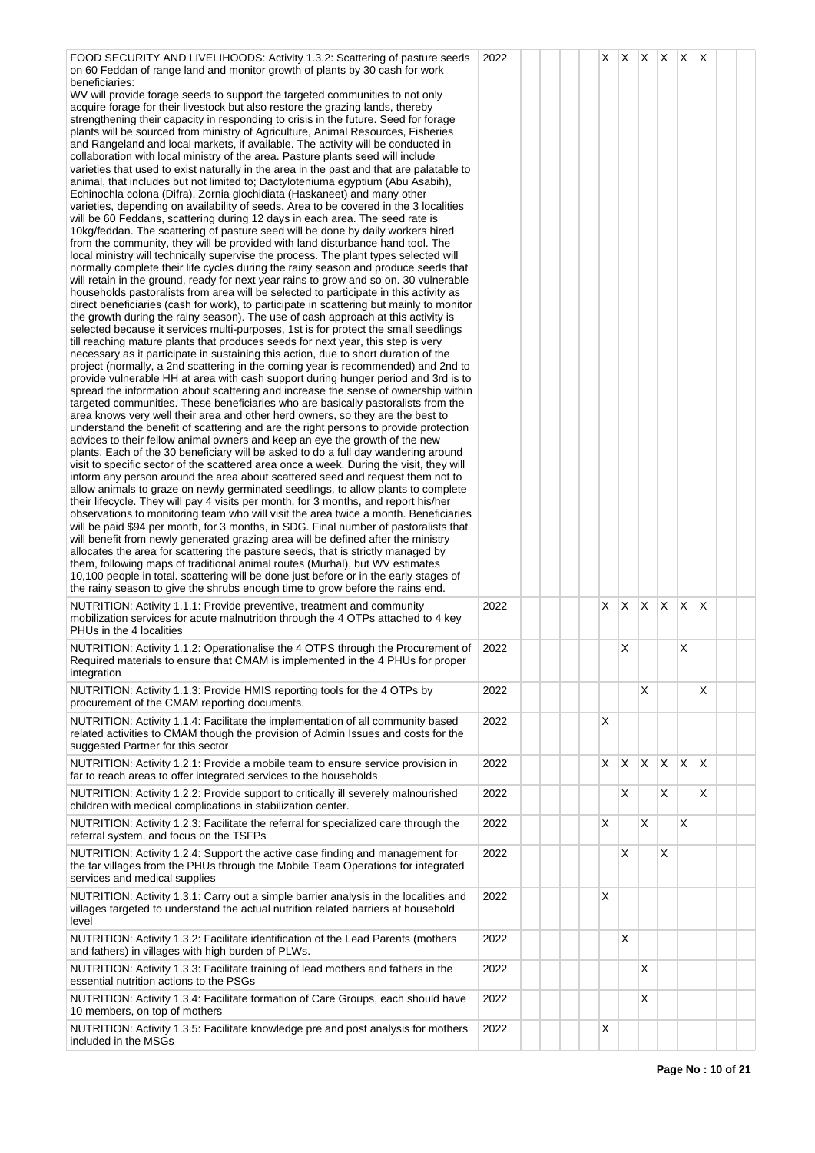| FOOD SECURITY AND LIVELIHOODS: Activity 1.3.2: Scattering of pasture seeds<br>on 60 Feddan of range land and monitor growth of plants by 30 cash for work<br>beneficiaries:<br>WV will provide forage seeds to support the targeted communities to not only<br>acquire forage for their livestock but also restore the grazing lands, thereby<br>strengthening their capacity in responding to crisis in the future. Seed for forage<br>plants will be sourced from ministry of Agriculture, Animal Resources, Fisheries<br>and Rangeland and local markets, if available. The activity will be conducted in<br>collaboration with local ministry of the area. Pasture plants seed will include<br>varieties that used to exist naturally in the area in the past and that are palatable to<br>animal, that includes but not limited to; Dactyloteniuma egyptium (Abu Asabih),<br>Echinochla colona (Difra), Zornia glochidiata (Haskaneet) and many other<br>varieties, depending on availability of seeds. Area to be covered in the 3 localities<br>will be 60 Feddans, scattering during 12 days in each area. The seed rate is<br>10kg/feddan. The scattering of pasture seed will be done by daily workers hired<br>from the community, they will be provided with land disturbance hand tool. The<br>local ministry will technically supervise the process. The plant types selected will<br>normally complete their life cycles during the rainy season and produce seeds that<br>will retain in the ground, ready for next year rains to grow and so on. 30 vulnerable<br>households pastoralists from area will be selected to participate in this activity as<br>direct beneficiaries (cash for work), to participate in scattering but mainly to monitor<br>the growth during the rainy season). The use of cash approach at this activity is<br>selected because it services multi-purposes, 1st is for protect the small seedlings<br>till reaching mature plants that produces seeds for next year, this step is very<br>necessary as it participate in sustaining this action, due to short duration of the<br>project (normally, a 2nd scattering in the coming year is recommended) and 2nd to<br>provide vulnerable HH at area with cash support during hunger period and 3rd is to<br>spread the information about scattering and increase the sense of ownership within<br>targeted communities. These beneficiaries who are basically pastoralists from the<br>area knows very well their area and other herd owners, so they are the best to<br>understand the benefit of scattering and are the right persons to provide protection<br>advices to their fellow animal owners and keep an eye the growth of the new<br>plants. Each of the 30 beneficiary will be asked to do a full day wandering around<br>visit to specific sector of the scattered area once a week. During the visit, they will<br>inform any person around the area about scattered seed and request them not to<br>allow animals to graze on newly germinated seedlings, to allow plants to complete<br>their lifecycle. They will pay 4 visits per month, for 3 months, and report his/her<br>observations to monitoring team who will visit the area twice a month. Beneficiaries<br>will be paid \$94 per month, for 3 months, in SDG. Final number of pastoralists that<br>will benefit from newly generated grazing area will be defined after the ministry<br>allocates the area for scattering the pasture seeds, that is strictly managed by<br>them, following maps of traditional animal routes (Murhal), but WV estimates<br>10,100 people in total. scattering will be done just before or in the early stages of<br>the rainy season to give the shrubs enough time to grow before the rains end. | 2022 |  | X. |   |          |              | $X$ $X$ $X$ $X$ |          |  |
|--------------------------------------------------------------------------------------------------------------------------------------------------------------------------------------------------------------------------------------------------------------------------------------------------------------------------------------------------------------------------------------------------------------------------------------------------------------------------------------------------------------------------------------------------------------------------------------------------------------------------------------------------------------------------------------------------------------------------------------------------------------------------------------------------------------------------------------------------------------------------------------------------------------------------------------------------------------------------------------------------------------------------------------------------------------------------------------------------------------------------------------------------------------------------------------------------------------------------------------------------------------------------------------------------------------------------------------------------------------------------------------------------------------------------------------------------------------------------------------------------------------------------------------------------------------------------------------------------------------------------------------------------------------------------------------------------------------------------------------------------------------------------------------------------------------------------------------------------------------------------------------------------------------------------------------------------------------------------------------------------------------------------------------------------------------------------------------------------------------------------------------------------------------------------------------------------------------------------------------------------------------------------------------------------------------------------------------------------------------------------------------------------------------------------------------------------------------------------------------------------------------------------------------------------------------------------------------------------------------------------------------------------------------------------------------------------------------------------------------------------------------------------------------------------------------------------------------------------------------------------------------------------------------------------------------------------------------------------------------------------------------------------------------------------------------------------------------------------------------------------------------------------------------------------------------------------------------------------------------------------------------------------------------------------------------------------------------------------------------------------------------------------------------------------------------------------------------------------------------------------------------------------------------------------------------------------------------------------------------------------------------------------------------------------------------------------------------------------------------------------------------------------------------------------------------|------|--|----|---|----------|--------------|-----------------|----------|--|
| NUTRITION: Activity 1.1.1: Provide preventive, treatment and community<br>mobilization services for acute malnutrition through the 4 OTPs attached to 4 key<br>PHUs in the 4 localities                                                                                                                                                                                                                                                                                                                                                                                                                                                                                                                                                                                                                                                                                                                                                                                                                                                                                                                                                                                                                                                                                                                                                                                                                                                                                                                                                                                                                                                                                                                                                                                                                                                                                                                                                                                                                                                                                                                                                                                                                                                                                                                                                                                                                                                                                                                                                                                                                                                                                                                                                                                                                                                                                                                                                                                                                                                                                                                                                                                                                                                                                                                                                                                                                                                                                                                                                                                                                                                                                                                                                                                                                      | 2022 |  | X  | Χ | X.       | $\mathsf{X}$ | X.              | X        |  |
| NUTRITION: Activity 1.1.2: Operationalise the 4 OTPS through the Procurement of<br>Required materials to ensure that CMAM is implemented in the 4 PHUs for proper<br>integration                                                                                                                                                                                                                                                                                                                                                                                                                                                                                                                                                                                                                                                                                                                                                                                                                                                                                                                                                                                                                                                                                                                                                                                                                                                                                                                                                                                                                                                                                                                                                                                                                                                                                                                                                                                                                                                                                                                                                                                                                                                                                                                                                                                                                                                                                                                                                                                                                                                                                                                                                                                                                                                                                                                                                                                                                                                                                                                                                                                                                                                                                                                                                                                                                                                                                                                                                                                                                                                                                                                                                                                                                             | 2022 |  |    | X |          |              | X               |          |  |
| NUTRITION: Activity 1.1.3: Provide HMIS reporting tools for the 4 OTPs by<br>procurement of the CMAM reporting documents.                                                                                                                                                                                                                                                                                                                                                                                                                                                                                                                                                                                                                                                                                                                                                                                                                                                                                                                                                                                                                                                                                                                                                                                                                                                                                                                                                                                                                                                                                                                                                                                                                                                                                                                                                                                                                                                                                                                                                                                                                                                                                                                                                                                                                                                                                                                                                                                                                                                                                                                                                                                                                                                                                                                                                                                                                                                                                                                                                                                                                                                                                                                                                                                                                                                                                                                                                                                                                                                                                                                                                                                                                                                                                    | 2022 |  |    |   | X        |              |                 | X        |  |
| NUTRITION: Activity 1.1.4: Facilitate the implementation of all community based<br>related activities to CMAM though the provision of Admin Issues and costs for the<br>suggested Partner for this sector                                                                                                                                                                                                                                                                                                                                                                                                                                                                                                                                                                                                                                                                                                                                                                                                                                                                                                                                                                                                                                                                                                                                                                                                                                                                                                                                                                                                                                                                                                                                                                                                                                                                                                                                                                                                                                                                                                                                                                                                                                                                                                                                                                                                                                                                                                                                                                                                                                                                                                                                                                                                                                                                                                                                                                                                                                                                                                                                                                                                                                                                                                                                                                                                                                                                                                                                                                                                                                                                                                                                                                                                    | 2022 |  | X  |   |          |              |                 |          |  |
| NUTRITION: Activity 1.2.1: Provide a mobile team to ensure service provision in<br>far to reach areas to offer integrated services to the households                                                                                                                                                                                                                                                                                                                                                                                                                                                                                                                                                                                                                                                                                                                                                                                                                                                                                                                                                                                                                                                                                                                                                                                                                                                                                                                                                                                                                                                                                                                                                                                                                                                                                                                                                                                                                                                                                                                                                                                                                                                                                                                                                                                                                                                                                                                                                                                                                                                                                                                                                                                                                                                                                                                                                                                                                                                                                                                                                                                                                                                                                                                                                                                                                                                                                                                                                                                                                                                                                                                                                                                                                                                         | 2022 |  | X  | X | $\times$ | X            | X               | $\times$ |  |
| NUTRITION: Activity 1.2.2: Provide support to critically ill severely malnourished<br>children with medical complications in stabilization center.                                                                                                                                                                                                                                                                                                                                                                                                                                                                                                                                                                                                                                                                                                                                                                                                                                                                                                                                                                                                                                                                                                                                                                                                                                                                                                                                                                                                                                                                                                                                                                                                                                                                                                                                                                                                                                                                                                                                                                                                                                                                                                                                                                                                                                                                                                                                                                                                                                                                                                                                                                                                                                                                                                                                                                                                                                                                                                                                                                                                                                                                                                                                                                                                                                                                                                                                                                                                                                                                                                                                                                                                                                                           | 2022 |  |    | X |          | X            |                 | X        |  |
| NUTRITION: Activity 1.2.3: Facilitate the referral for specialized care through the<br>referral system, and focus on the TSFPs                                                                                                                                                                                                                                                                                                                                                                                                                                                                                                                                                                                                                                                                                                                                                                                                                                                                                                                                                                                                                                                                                                                                                                                                                                                                                                                                                                                                                                                                                                                                                                                                                                                                                                                                                                                                                                                                                                                                                                                                                                                                                                                                                                                                                                                                                                                                                                                                                                                                                                                                                                                                                                                                                                                                                                                                                                                                                                                                                                                                                                                                                                                                                                                                                                                                                                                                                                                                                                                                                                                                                                                                                                                                               | 2022 |  | Х  |   | X        |              | Х               |          |  |
| NUTRITION: Activity 1.2.4: Support the active case finding and management for<br>the far villages from the PHUs through the Mobile Team Operations for integrated<br>services and medical supplies                                                                                                                                                                                                                                                                                                                                                                                                                                                                                                                                                                                                                                                                                                                                                                                                                                                                                                                                                                                                                                                                                                                                                                                                                                                                                                                                                                                                                                                                                                                                                                                                                                                                                                                                                                                                                                                                                                                                                                                                                                                                                                                                                                                                                                                                                                                                                                                                                                                                                                                                                                                                                                                                                                                                                                                                                                                                                                                                                                                                                                                                                                                                                                                                                                                                                                                                                                                                                                                                                                                                                                                                           | 2022 |  |    | X |          | X            |                 |          |  |
| NUTRITION: Activity 1.3.1: Carry out a simple barrier analysis in the localities and<br>villages targeted to understand the actual nutrition related barriers at household<br>level                                                                                                                                                                                                                                                                                                                                                                                                                                                                                                                                                                                                                                                                                                                                                                                                                                                                                                                                                                                                                                                                                                                                                                                                                                                                                                                                                                                                                                                                                                                                                                                                                                                                                                                                                                                                                                                                                                                                                                                                                                                                                                                                                                                                                                                                                                                                                                                                                                                                                                                                                                                                                                                                                                                                                                                                                                                                                                                                                                                                                                                                                                                                                                                                                                                                                                                                                                                                                                                                                                                                                                                                                          | 2022 |  | Х  |   |          |              |                 |          |  |
| NUTRITION: Activity 1.3.2: Facilitate identification of the Lead Parents (mothers<br>and fathers) in villages with high burden of PLWs.                                                                                                                                                                                                                                                                                                                                                                                                                                                                                                                                                                                                                                                                                                                                                                                                                                                                                                                                                                                                                                                                                                                                                                                                                                                                                                                                                                                                                                                                                                                                                                                                                                                                                                                                                                                                                                                                                                                                                                                                                                                                                                                                                                                                                                                                                                                                                                                                                                                                                                                                                                                                                                                                                                                                                                                                                                                                                                                                                                                                                                                                                                                                                                                                                                                                                                                                                                                                                                                                                                                                                                                                                                                                      | 2022 |  |    | X |          |              |                 |          |  |
| NUTRITION: Activity 1.3.3: Facilitate training of lead mothers and fathers in the<br>essential nutrition actions to the PSGs                                                                                                                                                                                                                                                                                                                                                                                                                                                                                                                                                                                                                                                                                                                                                                                                                                                                                                                                                                                                                                                                                                                                                                                                                                                                                                                                                                                                                                                                                                                                                                                                                                                                                                                                                                                                                                                                                                                                                                                                                                                                                                                                                                                                                                                                                                                                                                                                                                                                                                                                                                                                                                                                                                                                                                                                                                                                                                                                                                                                                                                                                                                                                                                                                                                                                                                                                                                                                                                                                                                                                                                                                                                                                 | 2022 |  |    |   | X        |              |                 |          |  |
| NUTRITION: Activity 1.3.4: Facilitate formation of Care Groups, each should have<br>10 members, on top of mothers                                                                                                                                                                                                                                                                                                                                                                                                                                                                                                                                                                                                                                                                                                                                                                                                                                                                                                                                                                                                                                                                                                                                                                                                                                                                                                                                                                                                                                                                                                                                                                                                                                                                                                                                                                                                                                                                                                                                                                                                                                                                                                                                                                                                                                                                                                                                                                                                                                                                                                                                                                                                                                                                                                                                                                                                                                                                                                                                                                                                                                                                                                                                                                                                                                                                                                                                                                                                                                                                                                                                                                                                                                                                                            | 2022 |  |    |   | X        |              |                 |          |  |
| NUTRITION: Activity 1.3.5: Facilitate knowledge pre and post analysis for mothers<br>included in the MSGs                                                                                                                                                                                                                                                                                                                                                                                                                                                                                                                                                                                                                                                                                                                                                                                                                                                                                                                                                                                                                                                                                                                                                                                                                                                                                                                                                                                                                                                                                                                                                                                                                                                                                                                                                                                                                                                                                                                                                                                                                                                                                                                                                                                                                                                                                                                                                                                                                                                                                                                                                                                                                                                                                                                                                                                                                                                                                                                                                                                                                                                                                                                                                                                                                                                                                                                                                                                                                                                                                                                                                                                                                                                                                                    | 2022 |  | Х  |   |          |              |                 |          |  |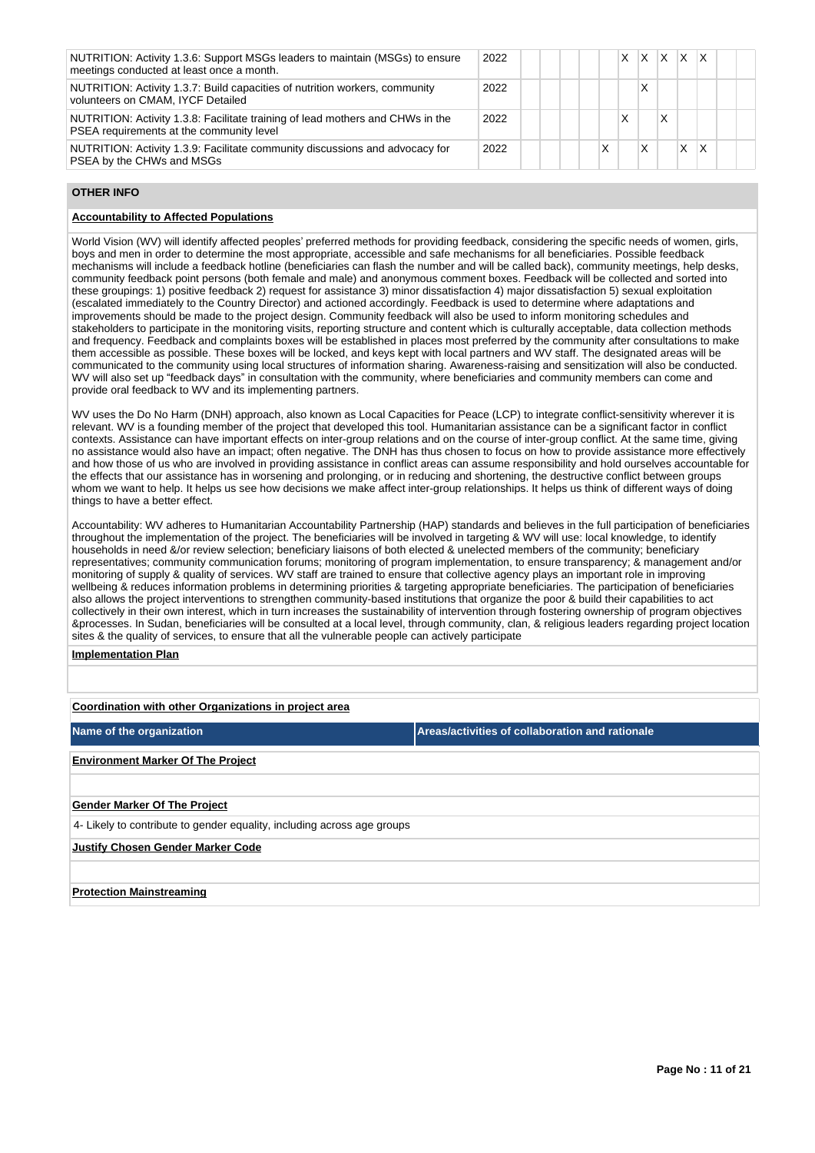| NUTRITION: Activity 1.3.6: Support MSGs leaders to maintain (MSGs) to ensure<br>meetings conducted at least once a month.  | 2022 |  |   | X. | $X$ $X$ $X$ |   |  |
|----------------------------------------------------------------------------------------------------------------------------|------|--|---|----|-------------|---|--|
| NUTRITION: Activity 1.3.7: Build capacities of nutrition workers, community<br>volunteers on CMAM, IYCF Detailed           | 2022 |  |   |    |             |   |  |
| NUTRITION: Activity 1.3.8: Facilitate training of lead mothers and CHWs in the<br>PSEA requirements at the community level | 2022 |  |   |    |             |   |  |
| NUTRITION: Activity 1.3.9: Facilitate community discussions and advocacy for<br>PSEA by the CHWs and MSGs                  | 2022 |  | Χ | x  | X           | x |  |

#### **OTHER INFO**

# **Accountability to Affected Populations**

World Vision (WV) will identify affected peoples' preferred methods for providing feedback, considering the specific needs of women, girls, boys and men in order to determine the most appropriate, accessible and safe mechanisms for all beneficiaries. Possible feedback mechanisms will include a feedback hotline (beneficiaries can flash the number and will be called back), community meetings, help desks, community feedback point persons (both female and male) and anonymous comment boxes. Feedback will be collected and sorted into these groupings: 1) positive feedback 2) request for assistance 3) minor dissatisfaction 4) major dissatisfaction 5) sexual exploitation (escalated immediately to the Country Director) and actioned accordingly. Feedback is used to determine where adaptations and improvements should be made to the project design. Community feedback will also be used to inform monitoring schedules and stakeholders to participate in the monitoring visits, reporting structure and content which is culturally acceptable, data collection methods and frequency. Feedback and complaints boxes will be established in places most preferred by the community after consultations to make them accessible as possible. These boxes will be locked, and keys kept with local partners and WV staff. The designated areas will be communicated to the community using local structures of information sharing. Awareness-raising and sensitization will also be conducted. WV will also set up "feedback days" in consultation with the community, where beneficiaries and community members can come and provide oral feedback to WV and its implementing partners.

WV uses the Do No Harm (DNH) approach, also known as Local Capacities for Peace (LCP) to integrate conflict-sensitivity wherever it is relevant. WV is a founding member of the project that developed this tool. Humanitarian assistance can be a significant factor in conflict contexts. Assistance can have important effects on inter-group relations and on the course of inter-group conflict. At the same time, giving no assistance would also have an impact; often negative. The DNH has thus chosen to focus on how to provide assistance more effectively and how those of us who are involved in providing assistance in conflict areas can assume responsibility and hold ourselves accountable for the effects that our assistance has in worsening and prolonging, or in reducing and shortening, the destructive conflict between groups whom we want to help. It helps us see how decisions we make affect inter-group relationships. It helps us think of different ways of doing things to have a better effect.

Accountability: WV adheres to Humanitarian Accountability Partnership (HAP) standards and believes in the full participation of beneficiaries throughout the implementation of the project. The beneficiaries will be involved in targeting & WV will use: local knowledge, to identify households in need &/or review selection; beneficiary liaisons of both elected & unelected members of the community; beneficiary representatives; community communication forums; monitoring of program implementation, to ensure transparency; & management and/or monitoring of supply & quality of services. WV staff are trained to ensure that collective agency plays an important role in improving wellbeing & reduces information problems in determining priorities & targeting appropriate beneficiaries. The participation of beneficiaries also allows the project interventions to strengthen community-based institutions that organize the poor & build their capabilities to act collectively in their own interest, which in turn increases the sustainability of intervention through fostering ownership of program objectives &processes. In Sudan, beneficiaries will be consulted at a local level, through community, clan, & religious leaders regarding project location sites & the quality of services, to ensure that all the vulnerable people can actively participate

# **Implementation Plan**

**Coordination with other Organizations in project area**

**Name of the organization Areas/activities of collaboration and rationale** 

**Environment Marker Of The Project**

**Gender Marker Of The Project**

4- Likely to contribute to gender equality, including across age groups

**Justify Chosen Gender Marker Code**

**Protection Mainstreaming**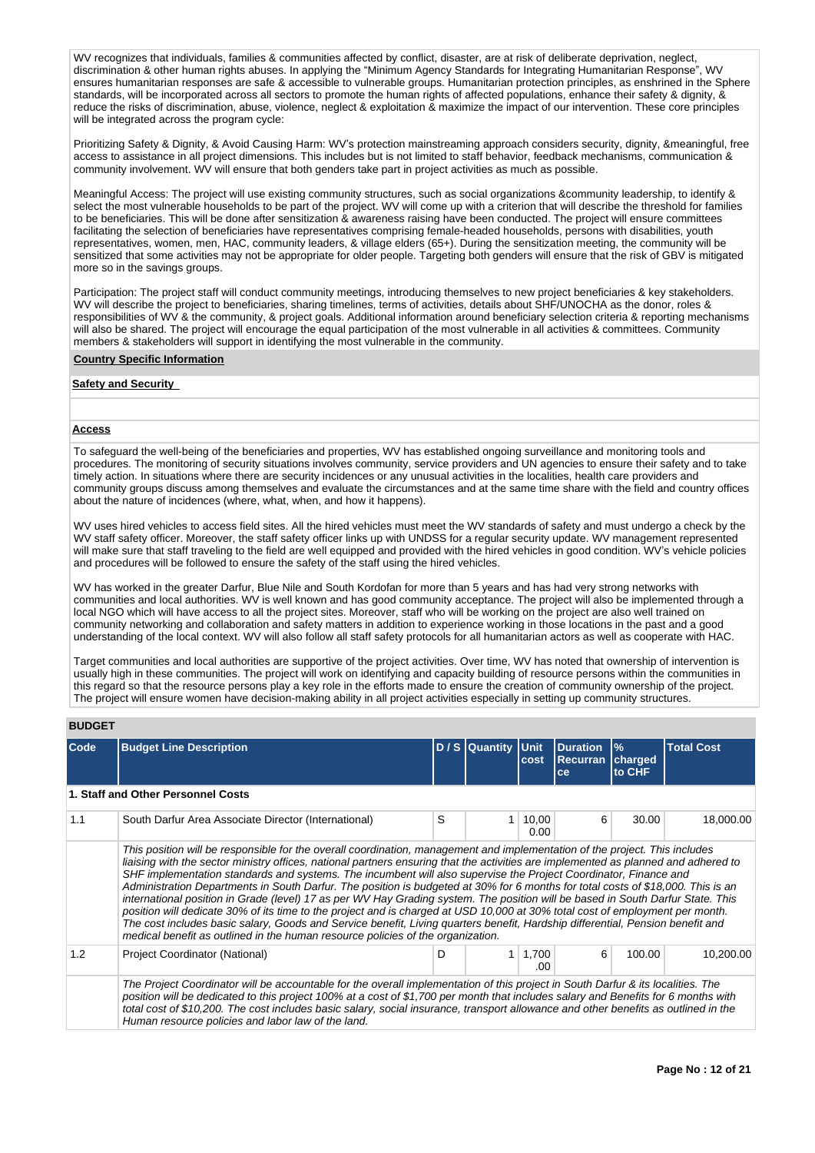WV recognizes that individuals, families & communities affected by conflict, disaster, are at risk of deliberate deprivation, neglect, discrimination & other human rights abuses. In applying the "Minimum Agency Standards for Integrating Humanitarian Response", WV ensures humanitarian responses are safe & accessible to vulnerable groups. Humanitarian protection principles, as enshrined in the Sphere standards, will be incorporated across all sectors to promote the human rights of affected populations, enhance their safety & dignity, & reduce the risks of discrimination, abuse, violence, neglect & exploitation & maximize the impact of our intervention. These core principles will be integrated across the program cycle:

Prioritizing Safety & Dignity, & Avoid Causing Harm: WV's protection mainstreaming approach considers security, dignity, &meaningful, free access to assistance in all project dimensions. This includes but is not limited to staff behavior, feedback mechanisms, communication & community involvement. WV will ensure that both genders take part in project activities as much as possible.

Meaningful Access: The project will use existing community structures, such as social organizations &community leadership, to identify & select the most vulnerable households to be part of the project. WV will come up with a criterion that will describe the threshold for families to be beneficiaries. This will be done after sensitization & awareness raising have been conducted. The project will ensure committees facilitating the selection of beneficiaries have representatives comprising female-headed households, persons with disabilities, youth representatives, women, men, HAC, community leaders, & village elders (65+). During the sensitization meeting, the community will be sensitized that some activities may not be appropriate for older people. Targeting both genders will ensure that the risk of GBV is mitigated more so in the savings groups.

Participation: The project staff will conduct community meetings, introducing themselves to new project beneficiaries & key stakeholders. WV will describe the project to beneficiaries, sharing timelines, terms of activities, details about SHF/UNOCHA as the donor, roles & responsibilities of WV & the community, & project goals. Additional information around beneficiary selection criteria & reporting mechanisms will also be shared. The project will encourage the equal participation of the most vulnerable in all activities & committees. Community members & stakeholders will support in identifying the most vulnerable in the community.

#### **Country Specific Information**

# **Safety and Security**

#### **Access**

To safeguard the well-being of the beneficiaries and properties, WV has established ongoing surveillance and monitoring tools and procedures. The monitoring of security situations involves community, service providers and UN agencies to ensure their safety and to take timely action. In situations where there are security incidences or any unusual activities in the localities, health care providers and community groups discuss among themselves and evaluate the circumstances and at the same time share with the field and country offices about the nature of incidences (where, what, when, and how it happens).

WV uses hired vehicles to access field sites. All the hired vehicles must meet the WV standards of safety and must undergo a check by the WV staff safety officer. Moreover, the staff safety officer links up with UNDSS for a regular security update. WV management represented will make sure that staff traveling to the field are well equipped and provided with the hired vehicles in good condition. WV's vehicle policies and procedures will be followed to ensure the safety of the staff using the hired vehicles.

WV has worked in the greater Darfur, Blue Nile and South Kordofan for more than 5 years and has had very strong networks with communities and local authorities. WV is well known and has good community acceptance. The project will also be implemented through a local NGO which will have access to all the project sites. Moreover, staff who will be working on the project are also well trained on community networking and collaboration and safety matters in addition to experience working in those locations in the past and a good understanding of the local context. WV will also follow all staff safety protocols for all humanitarian actors as well as cooperate with HAC.

Target communities and local authorities are supportive of the project activities. Over time, WV has noted that ownership of intervention is usually high in these communities. The project will work on identifying and capacity building of resource persons within the communities in this regard so that the resource persons play a key role in the efforts made to ensure the creation of community ownership of the project. The project will ensure women have decision-making ability in all project activities especially in setting up community structures.

#### **BUDGET**

| <b>Code</b> | <b>Budget Line Description</b>                                                                                                                                                                                                                                                                                                                                                                                                                                                                                                                                                                                                                                                                                                                                                                                                                                                                                                                                                                                      |   | D / S Quantity | <b>Unit</b><br>cost   | <b>Duration</b><br><b>Recurran</b><br>ce | $\frac{1}{2}$<br><b>charged</b><br>to CHF | <b>Total Cost</b> |
|-------------|---------------------------------------------------------------------------------------------------------------------------------------------------------------------------------------------------------------------------------------------------------------------------------------------------------------------------------------------------------------------------------------------------------------------------------------------------------------------------------------------------------------------------------------------------------------------------------------------------------------------------------------------------------------------------------------------------------------------------------------------------------------------------------------------------------------------------------------------------------------------------------------------------------------------------------------------------------------------------------------------------------------------|---|----------------|-----------------------|------------------------------------------|-------------------------------------------|-------------------|
|             | 1. Staff and Other Personnel Costs                                                                                                                                                                                                                                                                                                                                                                                                                                                                                                                                                                                                                                                                                                                                                                                                                                                                                                                                                                                  |   |                |                       |                                          |                                           |                   |
| 1.1         | South Darfur Area Associate Director (International)                                                                                                                                                                                                                                                                                                                                                                                                                                                                                                                                                                                                                                                                                                                                                                                                                                                                                                                                                                | S |                | 10,00<br>0.00         | 6                                        | 30.00                                     | 18,000.00         |
|             | This position will be responsible for the overall coordination, management and implementation of the project. This includes<br>liaising with the sector ministry offices, national partners ensuring that the activities are implemented as planned and adhered to<br>SHF implementation standards and systems. The incumbent will also supervise the Project Coordinator, Finance and<br>Administration Departments in South Darfur. The position is budgeted at 30% for 6 months for total costs of \$18,000. This is an<br>international position in Grade (level) 17 as per WV Hay Grading system. The position will be based in South Darfur State. This<br>position will dedicate 30% of its time to the project and is charged at USD 10,000 at 30% total cost of employment per month.<br>The cost includes basic salary, Goods and Service benefit, Living guarters benefit, Hardship differential, Pension benefit and<br>medical benefit as outlined in the human resource policies of the organization. |   |                |                       |                                          |                                           |                   |
| 1.2         | Project Coordinator (National)                                                                                                                                                                                                                                                                                                                                                                                                                                                                                                                                                                                                                                                                                                                                                                                                                                                                                                                                                                                      | D |                | $1 \mid 1.700$<br>.00 | 6                                        | 100.00                                    | 10,200.00         |
|             | The Project Coordinator will be accountable for the overall implementation of this project in South Darfur & its localities. The<br>position will be dedicated to this project 100% at a cost of \$1,700 per month that includes salary and Benefits for 6 months with<br>total cost of \$10,200. The cost includes basic salary, social insurance, transport allowance and other benefits as outlined in the<br>Human resource policies and labor law of the land.                                                                                                                                                                                                                                                                                                                                                                                                                                                                                                                                                 |   |                |                       |                                          |                                           |                   |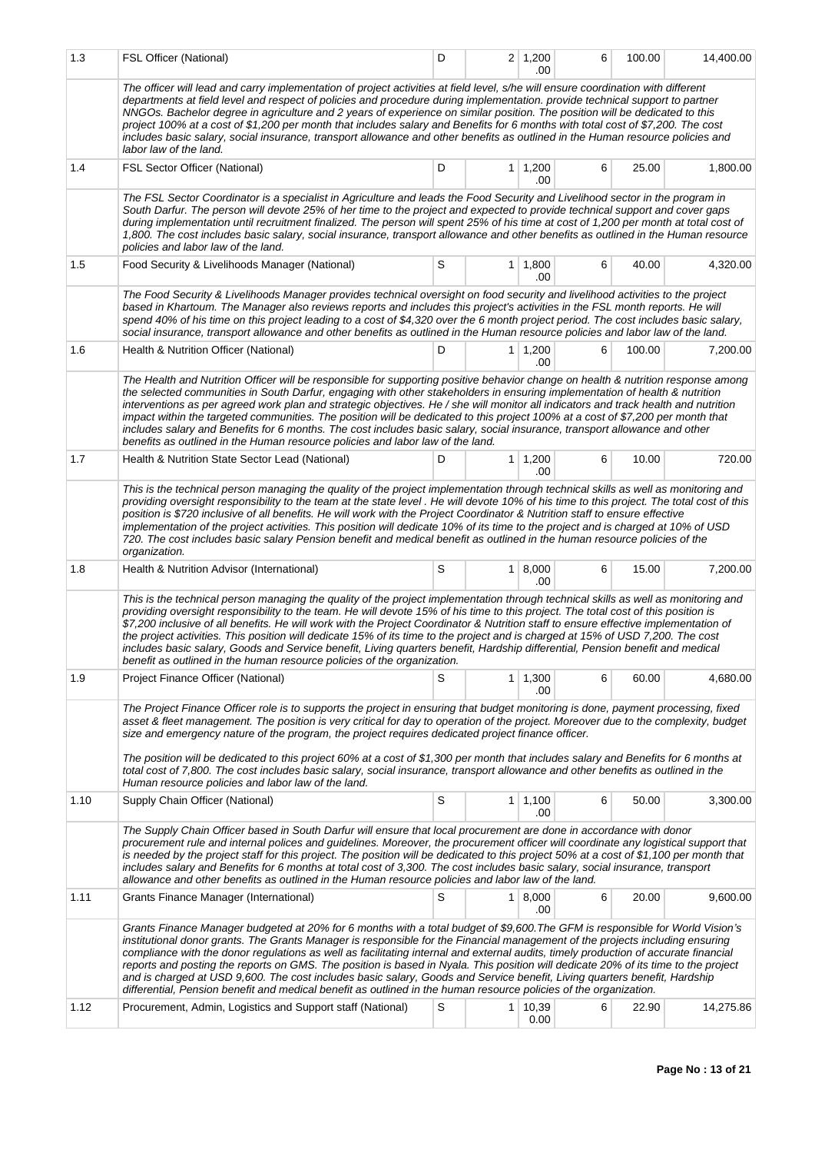| 1.3  | FSL Officer (National)                                                                                                                                                                                                                                                                                                                                                                                                                                                                                                                                                                                                                                                                                                                                                                        | D |                | $2 \mid 1,200$<br>.00  | 6 | 100.00 | 14,400.00 |  |  |  |  |  |
|------|-----------------------------------------------------------------------------------------------------------------------------------------------------------------------------------------------------------------------------------------------------------------------------------------------------------------------------------------------------------------------------------------------------------------------------------------------------------------------------------------------------------------------------------------------------------------------------------------------------------------------------------------------------------------------------------------------------------------------------------------------------------------------------------------------|---|----------------|------------------------|---|--------|-----------|--|--|--|--|--|
|      | The officer will lead and carry implementation of project activities at field level, s/he will ensure coordination with different<br>departments at field level and respect of policies and procedure during implementation. provide technical support to partner<br>NNGOs. Bachelor degree in agriculture and 2 years of experience on similar position. The position will be dedicated to this<br>project 100% at a cost of \$1,200 per month that includes salary and Benefits for 6 months with total cost of \$7,200. The cost<br>includes basic salary, social insurance, transport allowance and other benefits as outlined in the Human resource policies and<br>labor law of the land.                                                                                               |   |                |                        |   |        |           |  |  |  |  |  |
| 1.4  | FSL Sector Officer (National)                                                                                                                                                                                                                                                                                                                                                                                                                                                                                                                                                                                                                                                                                                                                                                 | D | 1 <sup>1</sup> | 1,200<br>.00           | 6 | 25.00  | 1,800.00  |  |  |  |  |  |
|      | The FSL Sector Coordinator is a specialist in Agriculture and leads the Food Security and Livelihood sector in the program in<br>South Darfur. The person will devote 25% of her time to the project and expected to provide technical support and cover gaps<br>during implementation until recruitment finalized. The person will spent 25% of his time at cost of 1,200 per month at total cost of<br>1,800. The cost includes basic salary, social insurance, transport allowance and other benefits as outlined in the Human resource<br>policies and labor law of the land.                                                                                                                                                                                                             |   |                |                        |   |        |           |  |  |  |  |  |
| 1.5  | Food Security & Livelihoods Manager (National)                                                                                                                                                                                                                                                                                                                                                                                                                                                                                                                                                                                                                                                                                                                                                | S |                | $1 \mid 1,800$<br>.00  | 6 | 40.00  | 4,320.00  |  |  |  |  |  |
|      | The Food Security & Livelihoods Manager provides technical oversight on food security and livelihood activities to the project<br>based in Khartoum. The Manager also reviews reports and includes this project's activities in the FSL month reports. He will<br>spend 40% of his time on this project leading to a cost of \$4,320 over the 6 month project period. The cost includes basic salary,<br>social insurance, transport allowance and other benefits as outlined in the Human resource policies and labor law of the land.                                                                                                                                                                                                                                                       |   |                |                        |   |        |           |  |  |  |  |  |
| 1.6  | Health & Nutrition Officer (National)                                                                                                                                                                                                                                                                                                                                                                                                                                                                                                                                                                                                                                                                                                                                                         | D |                | $1 \mid 1,200$<br>.00  | 6 | 100.00 | 7,200.00  |  |  |  |  |  |
|      | The Health and Nutrition Officer will be responsible for supporting positive behavior change on health & nutrition response among<br>the selected communities in South Darfur, engaging with other stakeholders in ensuring implementation of health & nutrition<br>interventions as per agreed work plan and strategic objectives. He / she will monitor all indicators and track health and nutrition<br>impact within the targeted communities. The position will be dedicated to this project 100% at a cost of \$7,200 per month that<br>includes salary and Benefits for 6 months. The cost includes basic salary, social insurance, transport allowance and other<br>benefits as outlined in the Human resource policies and labor law of the land.                                    |   |                |                        |   |        |           |  |  |  |  |  |
| 1.7  | Health & Nutrition State Sector Lead (National)                                                                                                                                                                                                                                                                                                                                                                                                                                                                                                                                                                                                                                                                                                                                               | D |                | $1 \mid 1,200$<br>.00. | 6 | 10.00  | 720.00    |  |  |  |  |  |
|      | This is the technical person managing the quality of the project implementation through technical skills as well as monitoring and<br>providing oversight responsibility to the team at the state level. He will devote 10% of his time to this project. The total cost of this<br>position is \$720 inclusive of all benefits. He will work with the Project Coordinator & Nutrition staff to ensure effective<br>implementation of the project activities. This position will dedicate 10% of its time to the project and is charged at 10% of USD<br>720. The cost includes basic salary Pension benefit and medical benefit as outlined in the human resource policies of the<br>organization.                                                                                            |   |                |                        |   |        |           |  |  |  |  |  |
| 1.8  | Health & Nutrition Advisor (International)                                                                                                                                                                                                                                                                                                                                                                                                                                                                                                                                                                                                                                                                                                                                                    | S |                | 1   8,000<br>.00       | 6 | 15.00  | 7,200.00  |  |  |  |  |  |
|      | This is the technical person managing the quality of the project implementation through technical skills as well as monitoring and<br>providing oversight responsibility to the team. He will devote 15% of his time to this project. The total cost of this position is<br>\$7,200 inclusive of all benefits. He will work with the Project Coordinator & Nutrition staff to ensure effective implementation of<br>the project activities. This position will dedicate 15% of its time to the project and is charged at 15% of USD 7,200. The cost<br>includes basic salary, Goods and Service benefit, Living quarters benefit, Hardship differential, Pension benefit and medical<br>benefit as outlined in the human resource policies of the organization.                               |   |                |                        |   |        |           |  |  |  |  |  |
| 1.9  | Project Finance Officer (National)                                                                                                                                                                                                                                                                                                                                                                                                                                                                                                                                                                                                                                                                                                                                                            | S |                | $1 \mid 1,300$<br>.00  | 6 | 60.00  | 4,680.00  |  |  |  |  |  |
|      | The Project Finance Officer role is to supports the project in ensuring that budget monitoring is done, payment processing, fixed<br>asset & fleet management. The position is very critical for day to operation of the project. Moreover due to the complexity, budget<br>size and emergency nature of the program, the project requires dedicated project finance officer.<br>The position will be dedicated to this project 60% at a cost of \$1,300 per month that includes salary and Benefits for 6 months at                                                                                                                                                                                                                                                                          |   |                |                        |   |        |           |  |  |  |  |  |
|      | total cost of 7,800. The cost includes basic salary, social insurance, transport allowance and other benefits as outlined in the<br>Human resource policies and labor law of the land.                                                                                                                                                                                                                                                                                                                                                                                                                                                                                                                                                                                                        |   |                |                        |   |        |           |  |  |  |  |  |
| 1.10 | Supply Chain Officer (National)                                                                                                                                                                                                                                                                                                                                                                                                                                                                                                                                                                                                                                                                                                                                                               | S |                | $1 \mid 1,100$<br>.00  | 6 | 50.00  | 3,300.00  |  |  |  |  |  |
|      | The Supply Chain Officer based in South Darfur will ensure that local procurement are done in accordance with donor<br>procurement rule and internal polices and guidelines. Moreover, the procurement officer will coordinate any logistical support that<br>is needed by the project staff for this project. The position will be dedicated to this project 50% at a cost of \$1,100 per month that<br>includes salary and Benefits for 6 months at total cost of 3,300. The cost includes basic salary, social insurance, transport<br>allowance and other benefits as outlined in the Human resource policies and labor law of the land.                                                                                                                                                  |   |                |                        |   |        |           |  |  |  |  |  |
| 1.11 | Grants Finance Manager (International)                                                                                                                                                                                                                                                                                                                                                                                                                                                                                                                                                                                                                                                                                                                                                        | S |                | 1   8,000<br>.00       | 6 | 20.00  | 9,600.00  |  |  |  |  |  |
|      | Grants Finance Manager budgeted at 20% for 6 months with a total budget of \$9,600. The GFM is responsible for World Vision's<br>institutional donor grants. The Grants Manager is responsible for the Financial management of the projects including ensuring<br>compliance with the donor regulations as well as facilitating internal and external audits, timely production of accurate financial<br>reports and posting the reports on GMS. The position is based in Nyala. This position will dedicate 20% of its time to the project<br>and is charged at USD 9,600. The cost includes basic salary, Goods and Service benefit, Living quarters benefit, Hardship<br>differential, Pension benefit and medical benefit as outlined in the human resource policies of the organization. |   |                |                        |   |        |           |  |  |  |  |  |
| 1.12 | Procurement, Admin, Logistics and Support staff (National)                                                                                                                                                                                                                                                                                                                                                                                                                                                                                                                                                                                                                                                                                                                                    | S |                | $1 \mid 10,39$<br>0.00 | 6 | 22.90  | 14,275.86 |  |  |  |  |  |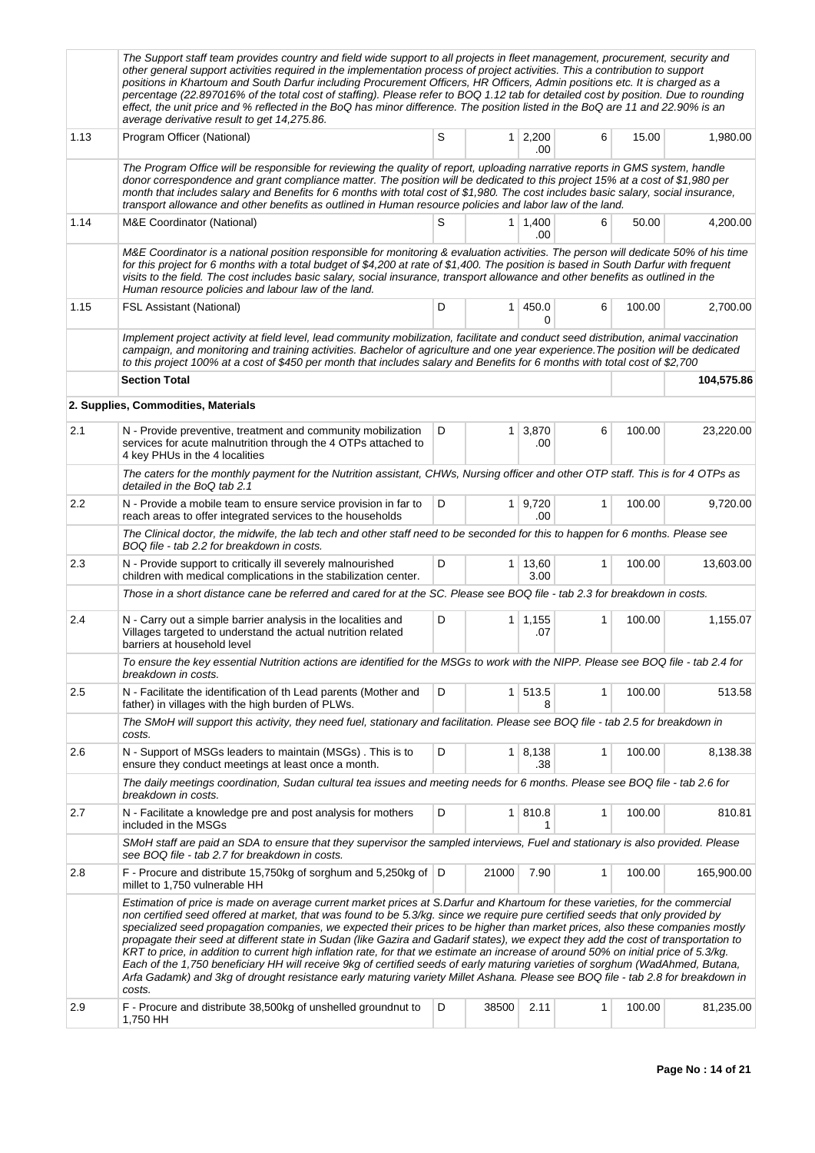|      | The Support staff team provides country and field wide support to all projects in fleet management, procurement, security and<br>other general support activities required in the implementation process of project activities. This a contribution to support<br>positions in Khartoum and South Darfur including Procurement Officers, HR Officers, Admin positions etc. It is charged as a<br>percentage (22.897016% of the total cost of staffing). Please refer to BOQ 1.12 tab for detailed cost by position. Due to rounding<br>effect, the unit price and % reflected in the BoQ has minor difference. The position listed in the BoQ are 11 and 22.90% is an<br>average derivative result to get 14,275.86.                                                                                                                                                                                                                                           |        |                |                       |   |        |            |  |  |  |  |  |
|------|----------------------------------------------------------------------------------------------------------------------------------------------------------------------------------------------------------------------------------------------------------------------------------------------------------------------------------------------------------------------------------------------------------------------------------------------------------------------------------------------------------------------------------------------------------------------------------------------------------------------------------------------------------------------------------------------------------------------------------------------------------------------------------------------------------------------------------------------------------------------------------------------------------------------------------------------------------------|--------|----------------|-----------------------|---|--------|------------|--|--|--|--|--|
| 1.13 | Program Officer (National)                                                                                                                                                                                                                                                                                                                                                                                                                                                                                                                                                                                                                                                                                                                                                                                                                                                                                                                                     | S      |                | $1 \mid 2,200$<br>.00 | 6 | 15.00  | 1,980.00   |  |  |  |  |  |
|      | The Program Office will be responsible for reviewing the quality of report, uploading narrative reports in GMS system, handle<br>donor correspondence and grant compliance matter. The position will be dedicated to this project 15% at a cost of \$1,980 per<br>month that includes salary and Benefits for 6 months with total cost of \$1,980. The cost includes basic salary, social insurance,<br>transport allowance and other benefits as outlined in Human resource policies and labor law of the land.                                                                                                                                                                                                                                                                                                                                                                                                                                               |        |                |                       |   |        |            |  |  |  |  |  |
| 1.14 | M&E Coordinator (National)                                                                                                                                                                                                                                                                                                                                                                                                                                                                                                                                                                                                                                                                                                                                                                                                                                                                                                                                     | S      |                | $1 \mid 1,400$<br>.00 | 6 | 50.00  | 4,200.00   |  |  |  |  |  |
|      | M&E Coordinator is a national position responsible for monitoring & evaluation activities. The person will dedicate 50% of his time<br>for this project for 6 months with a total budget of \$4,200 at rate of \$1,400. The position is based in South Darfur with frequent<br>visits to the field. The cost includes basic salary, social insurance, transport allowance and other benefits as outlined in the<br>Human resource policies and labour law of the land.                                                                                                                                                                                                                                                                                                                                                                                                                                                                                         |        |                |                       |   |        |            |  |  |  |  |  |
| 1.15 | <b>FSL Assistant (National)</b>                                                                                                                                                                                                                                                                                                                                                                                                                                                                                                                                                                                                                                                                                                                                                                                                                                                                                                                                | D      | 1 <sup>1</sup> | 450.0<br>0            | 6 | 100.00 | 2,700.00   |  |  |  |  |  |
|      | Implement project activity at field level, lead community mobilization, facilitate and conduct seed distribution, animal vaccination<br>campaign, and monitoring and training activities. Bachelor of agriculture and one year experience. The position will be dedicated<br>to this project 100% at a cost of \$450 per month that includes salary and Benefits for 6 months with total cost of \$2,700                                                                                                                                                                                                                                                                                                                                                                                                                                                                                                                                                       |        |                |                       |   |        |            |  |  |  |  |  |
|      | <b>Section Total</b>                                                                                                                                                                                                                                                                                                                                                                                                                                                                                                                                                                                                                                                                                                                                                                                                                                                                                                                                           |        |                |                       |   |        | 104,575.86 |  |  |  |  |  |
|      | 2. Supplies, Commodities, Materials                                                                                                                                                                                                                                                                                                                                                                                                                                                                                                                                                                                                                                                                                                                                                                                                                                                                                                                            |        |                |                       |   |        |            |  |  |  |  |  |
| 2.1  | N - Provide preventive, treatment and community mobilization<br>services for acute malnutrition through the 4 OTPs attached to<br>4 key PHUs in the 4 localities                                                                                                                                                                                                                                                                                                                                                                                                                                                                                                                                                                                                                                                                                                                                                                                               | D      | $\mathbf{1}$   | 3,870<br>.00          | 6 | 100.00 | 23,220.00  |  |  |  |  |  |
|      | The caters for the monthly payment for the Nutrition assistant, CHWs, Nursing officer and other OTP staff. This is for 4 OTPs as<br>detailed in the BoQ tab 2.1                                                                                                                                                                                                                                                                                                                                                                                                                                                                                                                                                                                                                                                                                                                                                                                                |        |                |                       |   |        |            |  |  |  |  |  |
| 2.2  | N - Provide a mobile team to ensure service provision in far to<br>reach areas to offer integrated services to the households                                                                                                                                                                                                                                                                                                                                                                                                                                                                                                                                                                                                                                                                                                                                                                                                                                  | 100.00 | 9,720.00       |                       |   |        |            |  |  |  |  |  |
|      | The Clinical doctor, the midwife, the lab tech and other staff need to be seconded for this to happen for 6 months. Please see<br>BOQ file - tab 2.2 for breakdown in costs.                                                                                                                                                                                                                                                                                                                                                                                                                                                                                                                                                                                                                                                                                                                                                                                   |        |                |                       |   |        |            |  |  |  |  |  |
| 2.3  | N - Provide support to critically ill severely malnourished<br>children with medical complications in the stabilization center.                                                                                                                                                                                                                                                                                                                                                                                                                                                                                                                                                                                                                                                                                                                                                                                                                                | D      | 1 <sup>1</sup> | 13,60<br>3.00         | 1 | 100.00 | 13,603.00  |  |  |  |  |  |
|      | Those in a short distance cane be referred and cared for at the SC. Please see BOQ file - tab 2.3 for breakdown in costs.                                                                                                                                                                                                                                                                                                                                                                                                                                                                                                                                                                                                                                                                                                                                                                                                                                      |        |                |                       |   |        |            |  |  |  |  |  |
| 2.4  | N - Carry out a simple barrier analysis in the localities and<br>Villages targeted to understand the actual nutrition related<br>barriers at household level                                                                                                                                                                                                                                                                                                                                                                                                                                                                                                                                                                                                                                                                                                                                                                                                   | D      |                | $1 \mid 1,155$<br>.07 | 1 | 100.00 | 1,155.07   |  |  |  |  |  |
|      | To ensure the key essential Nutrition actions are identified for the MSGs to work with the NIPP. Please see BOQ file - tab 2.4 for<br>breakdown in costs.                                                                                                                                                                                                                                                                                                                                                                                                                                                                                                                                                                                                                                                                                                                                                                                                      |        |                |                       |   |        |            |  |  |  |  |  |
| 2.5  | N - Facilitate the identification of th Lead parents (Mother and<br>father) in villages with the high burden of PLWs.                                                                                                                                                                                                                                                                                                                                                                                                                                                                                                                                                                                                                                                                                                                                                                                                                                          | D      |                | $1 \vert 513.5$<br>8  | 1 | 100.00 | 513.58     |  |  |  |  |  |
|      | The SMoH will support this activity, they need fuel, stationary and facilitation. Please see BOQ file - tab 2.5 for breakdown in<br>costs.                                                                                                                                                                                                                                                                                                                                                                                                                                                                                                                                                                                                                                                                                                                                                                                                                     |        |                |                       |   |        |            |  |  |  |  |  |
| 2.6  | N - Support of MSGs leaders to maintain (MSGs). This is to<br>ensure they conduct meetings at least once a month.                                                                                                                                                                                                                                                                                                                                                                                                                                                                                                                                                                                                                                                                                                                                                                                                                                              | D      |                | $1 \mid 8,138$<br>.38 | 1 | 100.00 | 8,138.38   |  |  |  |  |  |
|      | The daily meetings coordination, Sudan cultural tea issues and meeting needs for 6 months. Please see BOQ file - tab 2.6 for<br>breakdown in costs.                                                                                                                                                                                                                                                                                                                                                                                                                                                                                                                                                                                                                                                                                                                                                                                                            |        |                |                       |   |        |            |  |  |  |  |  |
| 2.7  | N - Facilitate a knowledge pre and post analysis for mothers<br>included in the MSGs                                                                                                                                                                                                                                                                                                                                                                                                                                                                                                                                                                                                                                                                                                                                                                                                                                                                           | D      |                | 1 810.8<br>1          | 1 | 100.00 | 810.81     |  |  |  |  |  |
|      | SMoH staff are paid an SDA to ensure that they supervisor the sampled interviews, Fuel and stationary is also provided. Please<br>see BOQ file - tab 2.7 for breakdown in costs.                                                                                                                                                                                                                                                                                                                                                                                                                                                                                                                                                                                                                                                                                                                                                                               |        |                |                       |   |        |            |  |  |  |  |  |
| 2.8  | F - Procure and distribute 15,750kg of sorghum and 5,250kg of D<br>millet to 1,750 vulnerable HH                                                                                                                                                                                                                                                                                                                                                                                                                                                                                                                                                                                                                                                                                                                                                                                                                                                               |        | 21000          | 7.90                  | 1 | 100.00 | 165,900.00 |  |  |  |  |  |
|      | Estimation of price is made on average current market prices at S.Darfur and Khartoum for these varieties, for the commercial<br>non certified seed offered at market, that was found to be 5.3/kg. since we require pure certified seeds that only provided by<br>specialized seed propagation companies, we expected their prices to be higher than market prices, also these companies mostly<br>propagate their seed at different state in Sudan (like Gazira and Gadarif states), we expect they add the cost of transportation to<br>KRT to price, in addition to current high inflation rate, for that we estimate an increase of around 50% on initial price of 5.3/kg.<br>Each of the 1,750 beneficiary HH will receive 9kg of certified seeds of early maturing varieties of sorghum (WadAhmed, Butana,<br>Arfa Gadamk) and 3kg of drought resistance early maturing variety Millet Ashana. Please see BOQ file - tab 2.8 for breakdown in<br>costs. |        |                |                       |   |        |            |  |  |  |  |  |
| 2.9  | F - Procure and distribute 38,500kg of unshelled groundnut to<br>1,750 HH                                                                                                                                                                                                                                                                                                                                                                                                                                                                                                                                                                                                                                                                                                                                                                                                                                                                                      | D      | 38500          | 2.11                  | 1 | 100.00 | 81,235.00  |  |  |  |  |  |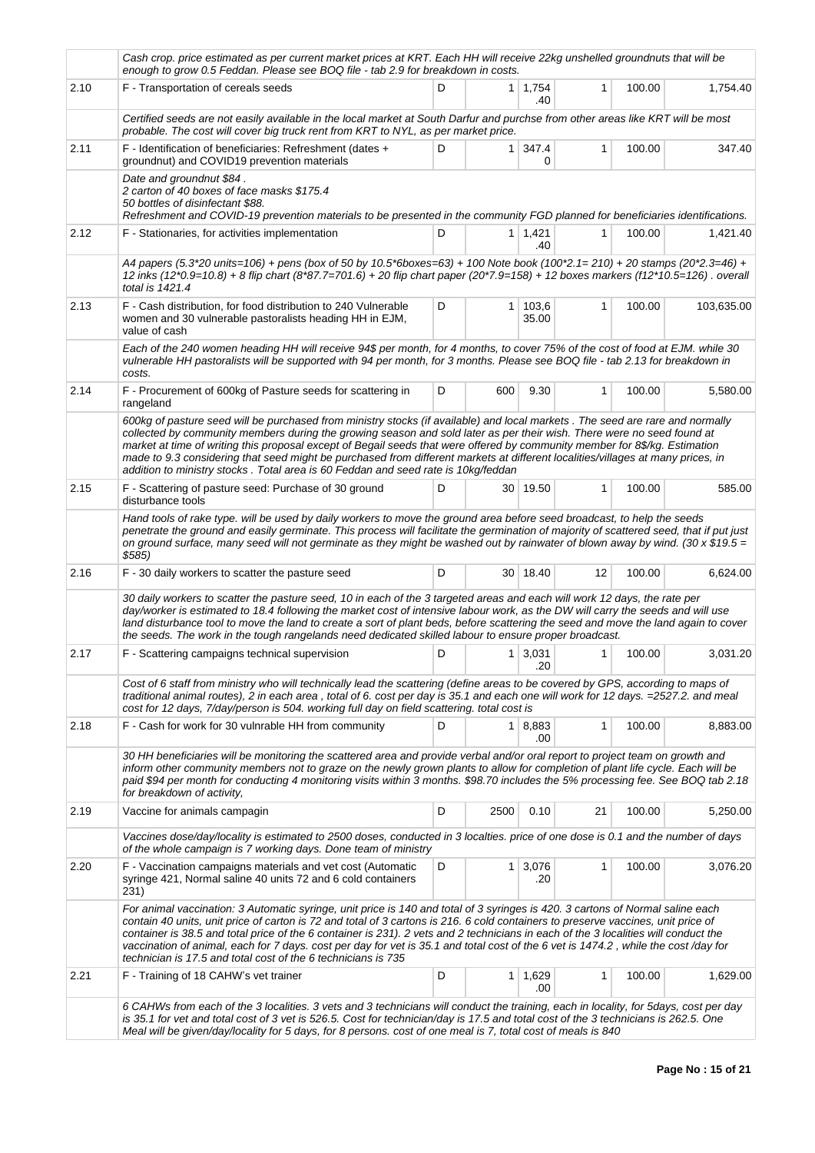|      | Cash crop. price estimated as per current market prices at KRT. Each HH will receive 22kg unshelled groundnuts that will be<br>enough to grow 0.5 Feddan. Please see BOQ file - tab 2.9 for breakdown in costs.                                                                                                                                                                                                                                                                                                                                                                                                   |   |                |                       |              |        |            |  |  |  |  |
|------|-------------------------------------------------------------------------------------------------------------------------------------------------------------------------------------------------------------------------------------------------------------------------------------------------------------------------------------------------------------------------------------------------------------------------------------------------------------------------------------------------------------------------------------------------------------------------------------------------------------------|---|----------------|-----------------------|--------------|--------|------------|--|--|--|--|
| 2.10 | F - Transportation of cereals seeds                                                                                                                                                                                                                                                                                                                                                                                                                                                                                                                                                                               | D |                | $1 \mid 1,754$<br>.40 | $\mathbf{1}$ | 100.00 | 1.754.40   |  |  |  |  |
|      | Certified seeds are not easily available in the local market at South Darfur and purchse from other areas like KRT will be most<br>probable. The cost will cover big truck rent from KRT to NYL, as per market price.                                                                                                                                                                                                                                                                                                                                                                                             |   |                |                       |              |        |            |  |  |  |  |
| 2.11 | F - Identification of beneficiaries: Refreshment (dates +<br>groundnut) and COVID19 prevention materials                                                                                                                                                                                                                                                                                                                                                                                                                                                                                                          | D | 1 <sup>1</sup> | 347.4<br>0            | 1            | 100.00 | 347.40     |  |  |  |  |
|      | Date and groundnut \$84.<br>2 carton of 40 boxes of face masks \$175.4<br>50 bottles of disinfectant \$88.<br>Refreshment and COVID-19 prevention materials to be presented in the community FGD planned for beneficiaries identifications.                                                                                                                                                                                                                                                                                                                                                                       |   |                |                       |              |        |            |  |  |  |  |
| 2.12 | F - Stationaries, for activities implementation                                                                                                                                                                                                                                                                                                                                                                                                                                                                                                                                                                   | D |                | $1 \mid 1,421$<br>.40 | 1            | 100.00 | 1,421.40   |  |  |  |  |
|      | A4 papers (5.3*20 units=106) + pens (box of 50 by 10.5*6boxes=63) + 100 Note book (100*2.1=210) + 20 stamps (20*2.3=46) +<br>12 inks (12*0.9=10.8) + 8 flip chart (8*87.7=701.6) + 20 flip chart paper (20*7.9=158) + 12 boxes markers (f12*10.5=126). overall<br>total is 1421.4                                                                                                                                                                                                                                                                                                                                 |   |                |                       |              |        |            |  |  |  |  |
| 2.13 | F - Cash distribution, for food distribution to 240 Vulnerable<br>women and 30 vulnerable pastoralists heading HH in EJM,<br>value of cash                                                                                                                                                                                                                                                                                                                                                                                                                                                                        | D | 1 <sup>1</sup> | 103,6<br>35.00        | 1            | 100.00 | 103,635.00 |  |  |  |  |
|      | Each of the 240 women heading HH will receive 94\$ per month, for 4 months, to cover 75% of the cost of food at EJM. while 30<br>vulnerable HH pastoralists will be supported with 94 per month, for 3 months. Please see BOQ file - tab 2.13 for breakdown in<br>costs.                                                                                                                                                                                                                                                                                                                                          |   |                |                       |              |        |            |  |  |  |  |
| 2.14 | F - Procurement of 600kg of Pasture seeds for scattering in<br>rangeland                                                                                                                                                                                                                                                                                                                                                                                                                                                                                                                                          | D | 600            | 9.30                  | 1            | 100.00 | 5,580.00   |  |  |  |  |
|      | 600kg of pasture seed will be purchased from ministry stocks (if available) and local markets. The seed are rare and normally<br>collected by community members during the growing season and sold later as per their wish. There were no seed found at<br>market at time of writing this proposal except of Begail seeds that were offered by community member for 8\$/kg. Estimation<br>made to 9.3 considering that seed might be purchased from different markets at different localities/villages at many prices, in<br>addition to ministry stocks. Total area is 60 Feddan and seed rate is 10kg/feddan    |   |                |                       |              |        |            |  |  |  |  |
| 2.15 | F - Scattering of pasture seed: Purchase of 30 ground<br>disturbance tools                                                                                                                                                                                                                                                                                                                                                                                                                                                                                                                                        | D |                | 30 19.50              | 1            | 100.00 | 585.00     |  |  |  |  |
|      | Hand tools of rake type. will be used by daily workers to move the ground area before seed broadcast, to help the seeds<br>penetrate the ground and easily germinate. This process will facilitate the germination of majority of scattered seed, that if put just<br>on ground surface, many seed will not germinate as they might be washed out by rainwater of blown away by wind. (30 x \$19.5 =<br>\$585)                                                                                                                                                                                                    |   |                |                       |              |        |            |  |  |  |  |
| 2.16 | F - 30 daily workers to scatter the pasture seed                                                                                                                                                                                                                                                                                                                                                                                                                                                                                                                                                                  | D |                | 30 18.40              | 12           | 100.00 | 6,624.00   |  |  |  |  |
|      | 30 daily workers to scatter the pasture seed, 10 in each of the 3 targeted areas and each will work 12 days, the rate per<br>day/worker is estimated to 18.4 following the market cost of intensive labour work, as the DW will carry the seeds and will use<br>land disturbance tool to move the land to create a sort of plant beds, before scattering the seed and move the land again to cover<br>the seeds. The work in the tough rangelands need dedicated skilled labour to ensure proper broadcast.                                                                                                       |   |                |                       |              |        |            |  |  |  |  |
| 2.17 | F - Scattering campaigns technical supervision                                                                                                                                                                                                                                                                                                                                                                                                                                                                                                                                                                    | D | $\mathbf{1}$   | 3,031<br>.20          | 1            | 100.00 | 3,031.20   |  |  |  |  |
|      | Cost of 6 staff from ministry who will technically lead the scattering (define areas to be covered by GPS, according to maps of<br>traditional animal routes), 2 in each area, total of 6. cost per day is 35.1 and each one will work for 12 days. = 2527.2. and meal<br>cost for 12 days, 7/day/person is 504. working full day on field scattering. total cost is                                                                                                                                                                                                                                              |   |                |                       |              |        |            |  |  |  |  |
| 2.18 | F - Cash for work for 30 vulnrable HH from community                                                                                                                                                                                                                                                                                                                                                                                                                                                                                                                                                              | D |                | 1 8,883<br>.00        | 1            | 100.00 | 8,883.00   |  |  |  |  |
|      | 30 HH beneficiaries will be monitoring the scattered area and provide verbal and/or oral report to project team on growth and<br>inform other community members not to graze on the newly grown plants to allow for completion of plant life cycle. Each will be<br>paid \$94 per month for conducting 4 monitoring visits within 3 months. \$98.70 includes the 5% processing fee. See BOQ tab 2.18<br>for breakdown of activity,                                                                                                                                                                                |   |                |                       |              |        |            |  |  |  |  |
| 2.19 | Vaccine for animals campagin                                                                                                                                                                                                                                                                                                                                                                                                                                                                                                                                                                                      | D | 2500           | 0.10                  | 21           | 100.00 | 5,250.00   |  |  |  |  |
|      | Vaccines dose/day/locality is estimated to 2500 doses, conducted in 3 localties. price of one dose is 0.1 and the number of days<br>of the whole campaign is 7 working days. Done team of ministry                                                                                                                                                                                                                                                                                                                                                                                                                |   |                |                       |              |        |            |  |  |  |  |
| 2.20 | F - Vaccination campaigns materials and vet cost (Automatic<br>syringe 421, Normal saline 40 units 72 and 6 cold containers<br>231)                                                                                                                                                                                                                                                                                                                                                                                                                                                                               | D | $\mathbf{1}$   | 3,076<br>.20          | $\mathbf{1}$ | 100.00 | 3,076.20   |  |  |  |  |
|      | For animal vaccination: 3 Automatic syringe, unit price is 140 and total of 3 syringes is 420. 3 cartons of Normal saline each<br>contain 40 units, unit price of carton is 72 and total of 3 cartons is 216. 6 cold containers to preserve vaccines, unit price of<br>container is 38.5 and total price of the 6 container is 231). 2 vets and 2 technicians in each of the 3 localities will conduct the<br>vaccination of animal, each for 7 days. cost per day for vet is 35.1 and total cost of the 6 vet is 1474.2, while the cost/day for<br>technician is 17.5 and total cost of the 6 technicians is 735 |   |                |                       |              |        |            |  |  |  |  |
| 2.21 | F - Training of 18 CAHW's vet trainer                                                                                                                                                                                                                                                                                                                                                                                                                                                                                                                                                                             | D |                | 1 1,629<br>.00        | 1            | 100.00 | 1,629.00   |  |  |  |  |
|      | 6 CAHWs from each of the 3 localities. 3 vets and 3 technicians will conduct the training, each in locality, for 5days, cost per day<br>is 35.1 for vet and total cost of 3 vet is 526.5. Cost for technician/day is 17.5 and total cost of the 3 technicians is 262.5. One<br>Meal will be given/day/locality for 5 days, for 8 persons. cost of one meal is 7, total cost of meals is 840                                                                                                                                                                                                                       |   |                |                       |              |        |            |  |  |  |  |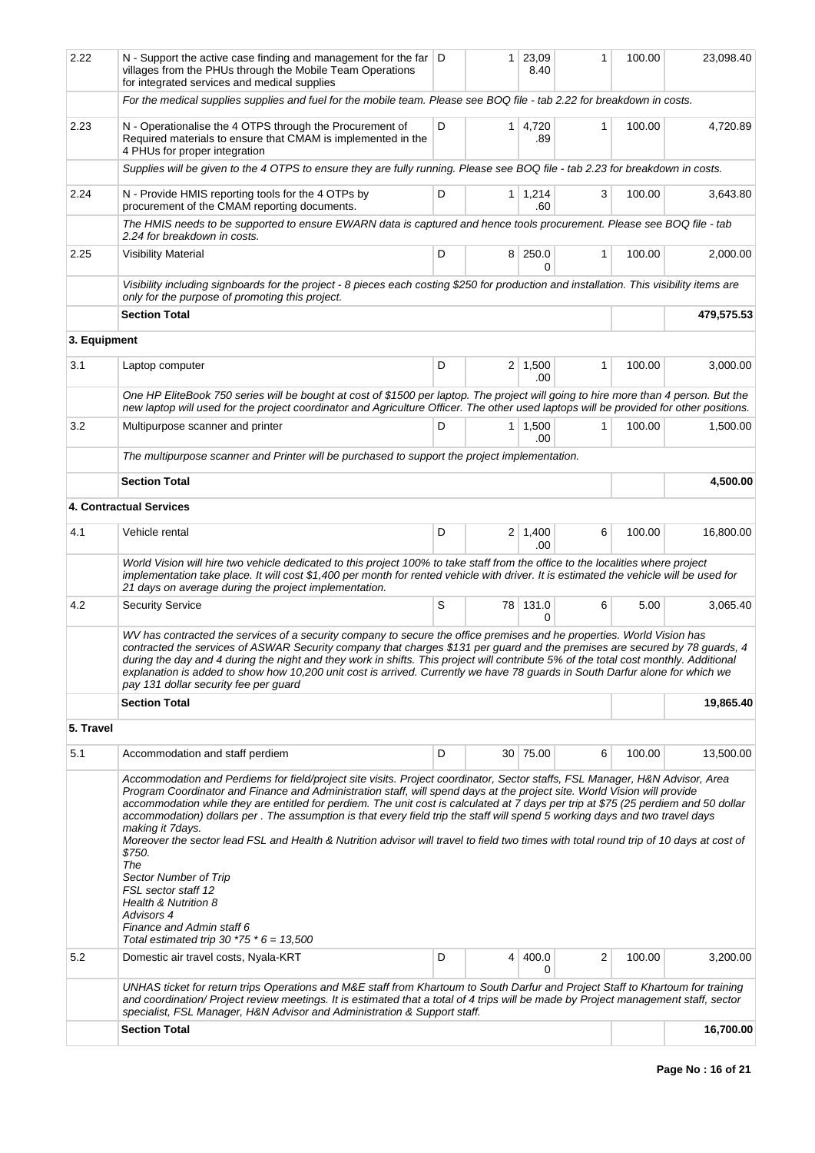| 2.22         | N - Support the active case finding and management for the far $ D $<br>villages from the PHUs through the Mobile Team Operations<br>for integrated services and medical supplies                                                                                                                                                                                                                                                                                                                                                                                                                                                                                                                                                                                                                                                                                              |   | $\mathbf{1}$   | 23,09<br>8.40         | 1            | 100.00 | 23,098.40  |
|--------------|--------------------------------------------------------------------------------------------------------------------------------------------------------------------------------------------------------------------------------------------------------------------------------------------------------------------------------------------------------------------------------------------------------------------------------------------------------------------------------------------------------------------------------------------------------------------------------------------------------------------------------------------------------------------------------------------------------------------------------------------------------------------------------------------------------------------------------------------------------------------------------|---|----------------|-----------------------|--------------|--------|------------|
|              | For the medical supplies supplies and fuel for the mobile team. Please see BOQ file - tab 2.22 for breakdown in costs.                                                                                                                                                                                                                                                                                                                                                                                                                                                                                                                                                                                                                                                                                                                                                         |   |                |                       |              |        |            |
| 2.23         | N - Operationalise the 4 OTPS through the Procurement of<br>Required materials to ensure that CMAM is implemented in the<br>4 PHUs for proper integration                                                                                                                                                                                                                                                                                                                                                                                                                                                                                                                                                                                                                                                                                                                      | D | 1 <sup>1</sup> | 4,720<br>.89          | 1            | 100.00 | 4,720.89   |
|              | Supplies will be given to the 4 OTPS to ensure they are fully running. Please see BOQ file - tab 2.23 for breakdown in costs.                                                                                                                                                                                                                                                                                                                                                                                                                                                                                                                                                                                                                                                                                                                                                  |   |                |                       |              |        |            |
| 2.24         | N - Provide HMIS reporting tools for the 4 OTPs by<br>procurement of the CMAM reporting documents.                                                                                                                                                                                                                                                                                                                                                                                                                                                                                                                                                                                                                                                                                                                                                                             | D |                | $1 \mid 1,214$<br>.60 | 3            | 100.00 | 3,643.80   |
|              | The HMIS needs to be supported to ensure EWARN data is captured and hence tools procurement. Please see BOQ file - tab<br>2.24 for breakdown in costs.                                                                                                                                                                                                                                                                                                                                                                                                                                                                                                                                                                                                                                                                                                                         |   |                |                       |              |        |            |
| 2.25         | <b>Visibility Material</b>                                                                                                                                                                                                                                                                                                                                                                                                                                                                                                                                                                                                                                                                                                                                                                                                                                                     | D |                | 8 250.0<br>0          | 1            | 100.00 | 2,000.00   |
|              | Visibility including signboards for the project - 8 pieces each costing \$250 for production and installation. This visibility items are<br>only for the purpose of promoting this project.                                                                                                                                                                                                                                                                                                                                                                                                                                                                                                                                                                                                                                                                                    |   |                |                       |              |        |            |
|              | <b>Section Total</b>                                                                                                                                                                                                                                                                                                                                                                                                                                                                                                                                                                                                                                                                                                                                                                                                                                                           |   |                |                       |              |        | 479,575.53 |
| 3. Equipment |                                                                                                                                                                                                                                                                                                                                                                                                                                                                                                                                                                                                                                                                                                                                                                                                                                                                                |   |                |                       |              |        |            |
| 3.1          | Laptop computer                                                                                                                                                                                                                                                                                                                                                                                                                                                                                                                                                                                                                                                                                                                                                                                                                                                                | D |                | $2 \mid 1,500$        | $\mathbf{1}$ | 100.00 | 3,000.00   |
|              |                                                                                                                                                                                                                                                                                                                                                                                                                                                                                                                                                                                                                                                                                                                                                                                                                                                                                |   |                | .00                   |              |        |            |
|              | One HP EliteBook 750 series will be bought at cost of \$1500 per laptop. The project will going to hire more than 4 person. But the<br>new laptop will used for the project coordinator and Agriculture Officer. The other used laptops will be provided for other positions.                                                                                                                                                                                                                                                                                                                                                                                                                                                                                                                                                                                                  |   |                |                       |              |        |            |
| 3.2          | Multipurpose scanner and printer                                                                                                                                                                                                                                                                                                                                                                                                                                                                                                                                                                                                                                                                                                                                                                                                                                               | D |                | $1 \mid 1,500$<br>.00 | 1            | 100.00 | 1,500.00   |
|              | The multipurpose scanner and Printer will be purchased to support the project implementation.                                                                                                                                                                                                                                                                                                                                                                                                                                                                                                                                                                                                                                                                                                                                                                                  |   |                |                       |              |        |            |
|              | <b>Section Total</b>                                                                                                                                                                                                                                                                                                                                                                                                                                                                                                                                                                                                                                                                                                                                                                                                                                                           |   |                |                       |              |        | 4,500.00   |
|              | <b>4. Contractual Services</b>                                                                                                                                                                                                                                                                                                                                                                                                                                                                                                                                                                                                                                                                                                                                                                                                                                                 |   |                |                       |              |        |            |
| 4.1          | Vehicle rental                                                                                                                                                                                                                                                                                                                                                                                                                                                                                                                                                                                                                                                                                                                                                                                                                                                                 | D |                | $2 \mid 1,400$<br>.00 | 6            | 100.00 | 16,800.00  |
|              | World Vision will hire two vehicle dedicated to this project 100% to take staff from the office to the localities where project<br>implementation take place. It will cost \$1,400 per month for rented vehicle with driver. It is estimated the vehicle will be used for<br>21 days on average during the project implementation.                                                                                                                                                                                                                                                                                                                                                                                                                                                                                                                                             |   |                |                       |              |        |            |
| 4.2          | <b>Security Service</b>                                                                                                                                                                                                                                                                                                                                                                                                                                                                                                                                                                                                                                                                                                                                                                                                                                                        | S |                | 78 131.0<br>0         | 6            | 5.00   | 3,065.40   |
|              | WV has contracted the services of a security company to secure the office premises and he properties. World Vision has<br>contracted the services of ASWAR Security company that charges \$131 per guard and the premises are secured by 78 guards, 4<br>during the day and 4 during the night and they work in shifts. This project will contribute 5% of the total cost monthly. Additional<br>explanation is added to show how 10,200 unit cost is arrived. Currently we have 78 guards in South Darfur alone for which we<br>pay 131 dollar security fee per guard                                                                                                                                                                                                                                                                                                         |   |                |                       |              |        |            |
|              | <b>Section Total</b>                                                                                                                                                                                                                                                                                                                                                                                                                                                                                                                                                                                                                                                                                                                                                                                                                                                           |   |                |                       |              |        | 19,865.40  |
| 5. Travel    |                                                                                                                                                                                                                                                                                                                                                                                                                                                                                                                                                                                                                                                                                                                                                                                                                                                                                |   |                |                       |              |        |            |
| 5.1          | Accommodation and staff perdiem                                                                                                                                                                                                                                                                                                                                                                                                                                                                                                                                                                                                                                                                                                                                                                                                                                                | D |                | 30 75.00              | 6            | 100.00 | 13,500.00  |
|              | Accommodation and Perdiems for field/project site visits. Project coordinator, Sector staffs, FSL Manager, H&N Advisor, Area<br>Program Coordinator and Finance and Administration staff, will spend days at the project site. World Vision will provide<br>accommodation while they are entitled for perdiem. The unit cost is calculated at 7 days per trip at \$75 (25 perdiem and 50 dollar<br>accommodation) dollars per. The assumption is that every field trip the staff will spend 5 working days and two travel days<br>making it 7days.<br>Moreover the sector lead FSL and Health & Nutrition advisor will travel to field two times with total round trip of 10 days at cost of<br>\$750.<br>The<br>Sector Number of Trip<br>FSL sector staff 12<br>Health & Nutrition 8<br>Advisors 4<br>Finance and Admin staff 6<br>Total estimated trip 30 $*75 * 6 = 13,500$ |   |                |                       |              |        |            |
| 5.2          | Domestic air travel costs, Nyala-KRT                                                                                                                                                                                                                                                                                                                                                                                                                                                                                                                                                                                                                                                                                                                                                                                                                                           | D | 4 <sup>1</sup> | 400.0                 | 2            | 100.00 | 3,200.00   |
|              | UNHAS ticket for return trips Operations and M&E staff from Khartoum to South Darfur and Project Staff to Khartoum for training<br>and coordination/ Project review meetings. It is estimated that a total of 4 trips will be made by Project management staff, sector                                                                                                                                                                                                                                                                                                                                                                                                                                                                                                                                                                                                         |   |                | 0                     |              |        |            |
|              | specialist, FSL Manager, H&N Advisor and Administration & Support staff.<br><b>Section Total</b>                                                                                                                                                                                                                                                                                                                                                                                                                                                                                                                                                                                                                                                                                                                                                                               |   |                |                       |              |        | 16,700.00  |
|              |                                                                                                                                                                                                                                                                                                                                                                                                                                                                                                                                                                                                                                                                                                                                                                                                                                                                                |   |                |                       |              |        |            |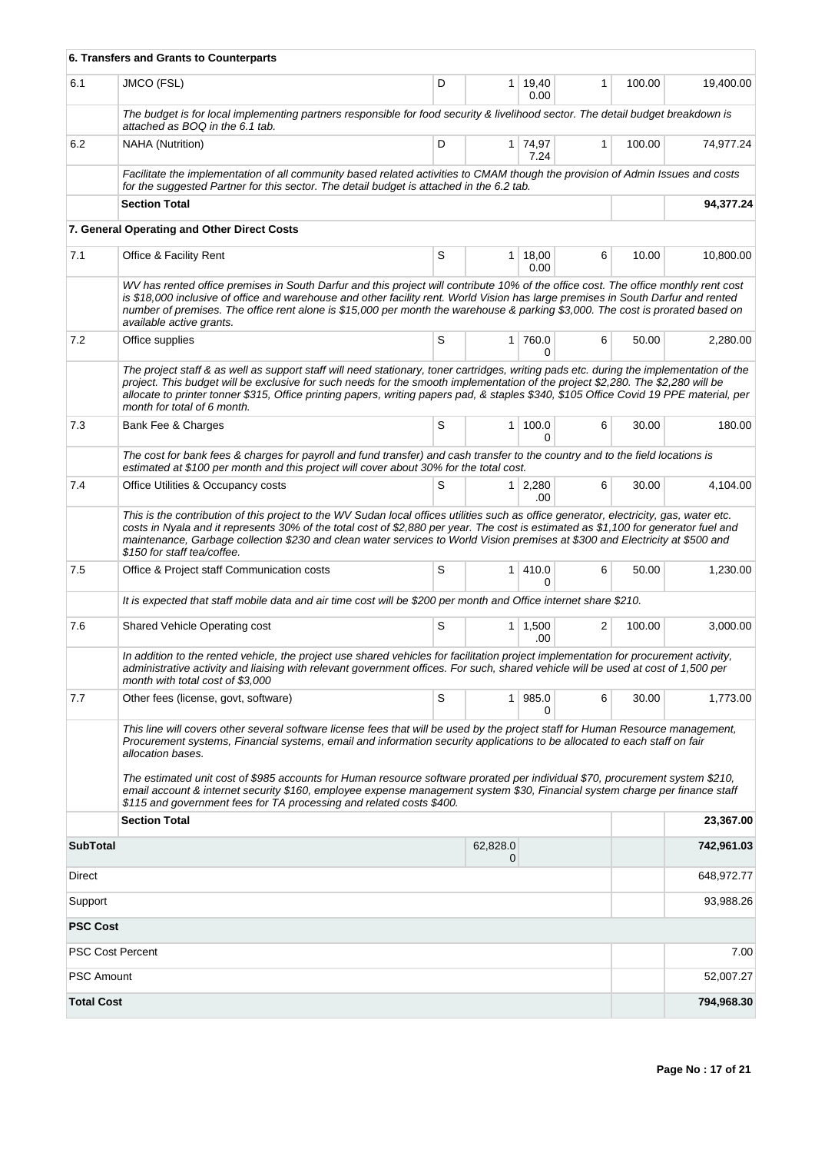|                         | 6. Transfers and Grants to Counterparts                                                                                                                                                                                                                                                                                                                                                                                                                                                                                                                                                                                   |   |                |                       |   |        |            |
|-------------------------|---------------------------------------------------------------------------------------------------------------------------------------------------------------------------------------------------------------------------------------------------------------------------------------------------------------------------------------------------------------------------------------------------------------------------------------------------------------------------------------------------------------------------------------------------------------------------------------------------------------------------|---|----------------|-----------------------|---|--------|------------|
| 6.1                     | JMCO (FSL)                                                                                                                                                                                                                                                                                                                                                                                                                                                                                                                                                                                                                | D | $\mathbf{1}$   | 19,40<br>0.00         | 1 | 100.00 | 19,400.00  |
|                         | The budget is for local implementing partners responsible for food security & livelihood sector. The detail budget breakdown is<br>attached as BOQ in the 6.1 tab.                                                                                                                                                                                                                                                                                                                                                                                                                                                        |   |                |                       |   |        |            |
| 6.2                     | <b>NAHA</b> (Nutrition)                                                                                                                                                                                                                                                                                                                                                                                                                                                                                                                                                                                                   | D |                | 1 74,97<br>7.24       | 1 | 100.00 | 74,977.24  |
|                         | Facilitate the implementation of all community based related activities to CMAM though the provision of Admin Issues and costs<br>for the suggested Partner for this sector. The detail budget is attached in the 6.2 tab.                                                                                                                                                                                                                                                                                                                                                                                                |   |                |                       |   |        |            |
|                         | <b>Section Total</b>                                                                                                                                                                                                                                                                                                                                                                                                                                                                                                                                                                                                      |   |                |                       |   |        | 94,377.24  |
|                         | 7. General Operating and Other Direct Costs                                                                                                                                                                                                                                                                                                                                                                                                                                                                                                                                                                               |   |                |                       |   |        |            |
| 7.1                     | Office & Facility Rent                                                                                                                                                                                                                                                                                                                                                                                                                                                                                                                                                                                                    | S | $\mathbf{1}$   | 18,00<br>0.00         | 6 | 10.00  | 10,800.00  |
|                         | WV has rented office premises in South Darfur and this project will contribute 10% of the office cost. The office monthly rent cost<br>is \$18,000 inclusive of office and warehouse and other facility rent. World Vision has large premises in South Darfur and rented<br>number of premises. The office rent alone is \$15,000 per month the warehouse & parking \$3,000. The cost is prorated based on<br>available active grants.                                                                                                                                                                                    |   |                |                       |   |        |            |
| 7.2                     | Office supplies                                                                                                                                                                                                                                                                                                                                                                                                                                                                                                                                                                                                           | S | 1 <sup>1</sup> | 760.0<br>0            | 6 | 50.00  | 2,280.00   |
|                         | The project staff & as well as support staff will need stationary, toner cartridges, writing pads etc. during the implementation of the<br>project. This budget will be exclusive for such needs for the smooth implementation of the project \$2,280. The \$2,280 will be<br>allocate to printer tonner \$315, Office printing papers, writing papers pad, & staples \$340, \$105 Office Covid 19 PPE material, per<br>month for total of 6 month.                                                                                                                                                                       |   |                |                       |   |        |            |
| 7.3                     | Bank Fee & Charges                                                                                                                                                                                                                                                                                                                                                                                                                                                                                                                                                                                                        | S | $\mathbf{1}$   | 100.0<br>0            | 6 | 30.00  | 180.00     |
|                         | The cost for bank fees & charges for payroll and fund transfer) and cash transfer to the country and to the field locations is<br>estimated at \$100 per month and this project will cover about 30% for the total cost.                                                                                                                                                                                                                                                                                                                                                                                                  |   |                |                       |   |        |            |
| 7.4                     | Office Utilities & Occupancy costs                                                                                                                                                                                                                                                                                                                                                                                                                                                                                                                                                                                        | S |                | $1 \mid 2,280$<br>.00 | 6 | 30.00  | 4,104.00   |
|                         | This is the contribution of this project to the WV Sudan local offices utilities such as office generator, electricity, gas, water etc.<br>costs in Nyala and it represents 30% of the total cost of \$2,880 per year. The cost is estimated as \$1,100 for generator fuel and<br>maintenance, Garbage collection \$230 and clean water services to World Vision premises at \$300 and Electricity at \$500 and<br>\$150 for staff tea/coffee.                                                                                                                                                                            |   |                |                       |   |        |            |
| 7.5                     | Office & Project staff Communication costs                                                                                                                                                                                                                                                                                                                                                                                                                                                                                                                                                                                | S | $\mathbf{1}$   | 410.0<br>0            | 6 | 50.00  | 1,230.00   |
|                         | It is expected that staff mobile data and air time cost will be \$200 per month and Office internet share \$210.                                                                                                                                                                                                                                                                                                                                                                                                                                                                                                          |   |                |                       |   |        |            |
| 7.6                     | Shared Vehicle Operating cost                                                                                                                                                                                                                                                                                                                                                                                                                                                                                                                                                                                             | S |                | $1 \mid 1,500$<br>.00 | 2 | 100.00 | 3,000.00   |
|                         | In addition to the rented vehicle, the project use shared vehicles for facilitation project implementation for procurement activity,<br>administrative activity and liaising with relevant government offices. For such, shared vehicle will be used at cost of 1,500 per<br>month with total cost of \$3,000                                                                                                                                                                                                                                                                                                             |   |                |                       |   |        |            |
| 7.7                     | Other fees (license, govt, software)                                                                                                                                                                                                                                                                                                                                                                                                                                                                                                                                                                                      | S | 1 <sup>1</sup> | 985.0<br>0            | 6 | 30.00  | 1,773.00   |
|                         | This line will covers other several software license fees that will be used by the project staff for Human Resource management,<br>Procurement systems, Financial systems, email and information security applications to be allocated to each staff on fair<br>allocation bases.<br>The estimated unit cost of \$985 accounts for Human resource software prorated per individual \$70, procurement system \$210,<br>email account & internet security \$160, employee expense management system \$30, Financial system charge per finance staff<br>\$115 and government fees for TA processing and related costs \$400. |   |                |                       |   |        |            |
|                         | <b>Section Total</b>                                                                                                                                                                                                                                                                                                                                                                                                                                                                                                                                                                                                      |   |                |                       |   |        | 23,367.00  |
| <b>SubTotal</b>         |                                                                                                                                                                                                                                                                                                                                                                                                                                                                                                                                                                                                                           |   | 62,828.0<br>0  |                       |   |        | 742,961.03 |
| Direct                  |                                                                                                                                                                                                                                                                                                                                                                                                                                                                                                                                                                                                                           |   |                |                       |   |        | 648,972.77 |
| Support                 |                                                                                                                                                                                                                                                                                                                                                                                                                                                                                                                                                                                                                           |   |                |                       |   |        | 93,988.26  |
| <b>PSC Cost</b>         |                                                                                                                                                                                                                                                                                                                                                                                                                                                                                                                                                                                                                           |   |                |                       |   |        |            |
| <b>PSC Cost Percent</b> |                                                                                                                                                                                                                                                                                                                                                                                                                                                                                                                                                                                                                           |   |                |                       |   |        | 7.00       |
| <b>PSC Amount</b>       |                                                                                                                                                                                                                                                                                                                                                                                                                                                                                                                                                                                                                           |   |                |                       |   |        | 52,007.27  |
| <b>Total Cost</b>       |                                                                                                                                                                                                                                                                                                                                                                                                                                                                                                                                                                                                                           |   |                |                       |   |        | 794,968.30 |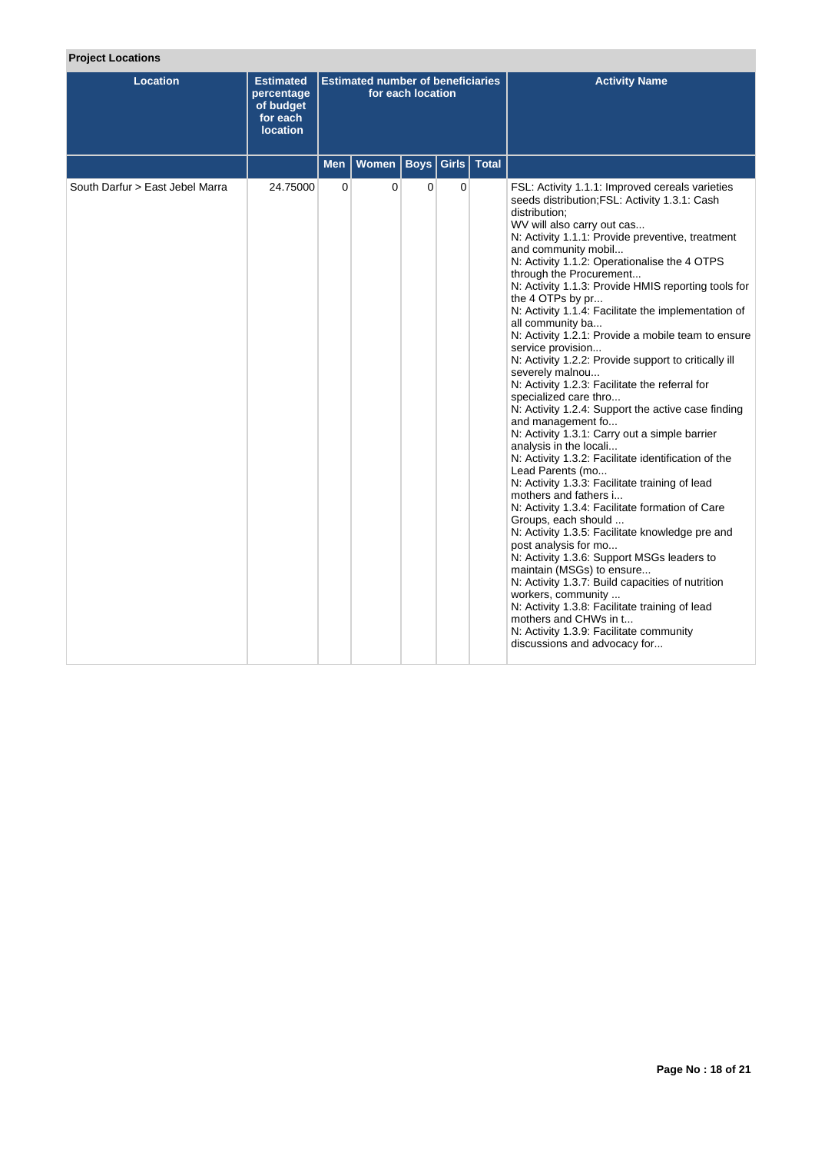| Location                        | <b>Estimated</b><br>percentage<br>of budget<br>for each<br><b>location</b> |                | <b>Estimated number of beneficiaries</b> | for each location |              |       | <b>Activity Name</b>                                                                                                                                                                                                                                                                                                                                                                                                                                                                                                                                                                                                                                                                                                                                                                                                                                                                                                                                                                                                                                                                                                                                                                                                                                                                                                                                                                                                                                                     |
|---------------------------------|----------------------------------------------------------------------------|----------------|------------------------------------------|-------------------|--------------|-------|--------------------------------------------------------------------------------------------------------------------------------------------------------------------------------------------------------------------------------------------------------------------------------------------------------------------------------------------------------------------------------------------------------------------------------------------------------------------------------------------------------------------------------------------------------------------------------------------------------------------------------------------------------------------------------------------------------------------------------------------------------------------------------------------------------------------------------------------------------------------------------------------------------------------------------------------------------------------------------------------------------------------------------------------------------------------------------------------------------------------------------------------------------------------------------------------------------------------------------------------------------------------------------------------------------------------------------------------------------------------------------------------------------------------------------------------------------------------------|
|                                 |                                                                            | Men            | <b>Women</b>                             | <b>Boys</b> Girls |              | Total |                                                                                                                                                                                                                                                                                                                                                                                                                                                                                                                                                                                                                                                                                                                                                                                                                                                                                                                                                                                                                                                                                                                                                                                                                                                                                                                                                                                                                                                                          |
| South Darfur > East Jebel Marra | 24.75000                                                                   | $\overline{0}$ | $\mathbf 0$                              | $\overline{0}$    | $\mathbf{0}$ |       | FSL: Activity 1.1.1: Improved cereals varieties<br>seeds distribution; FSL: Activity 1.3.1: Cash<br>distribution:<br>WV will also carry out cas<br>N: Activity 1.1.1: Provide preventive, treatment<br>and community mobil<br>N: Activity 1.1.2: Operationalise the 4 OTPS<br>through the Procurement<br>N: Activity 1.1.3: Provide HMIS reporting tools for<br>the 4 OTPs by pr<br>N: Activity 1.1.4: Facilitate the implementation of<br>all community ba<br>N: Activity 1.2.1: Provide a mobile team to ensure<br>service provision<br>N: Activity 1.2.2: Provide support to critically ill<br>severely malnou<br>N: Activity 1.2.3: Facilitate the referral for<br>specialized care thro<br>N: Activity 1.2.4: Support the active case finding<br>and management fo<br>N: Activity 1.3.1: Carry out a simple barrier<br>analysis in the locali<br>N: Activity 1.3.2: Facilitate identification of the<br>Lead Parents (mo<br>N: Activity 1.3.3: Facilitate training of lead<br>mothers and fathers i<br>N: Activity 1.3.4: Facilitate formation of Care<br>Groups, each should<br>N: Activity 1.3.5: Facilitate knowledge pre and<br>post analysis for mo<br>N: Activity 1.3.6: Support MSGs leaders to<br>maintain (MSGs) to ensure<br>N: Activity 1.3.7: Build capacities of nutrition<br>workers, community<br>N: Activity 1.3.8: Facilitate training of lead<br>mothers and CHWs in t<br>N: Activity 1.3.9: Facilitate community<br>discussions and advocacy for |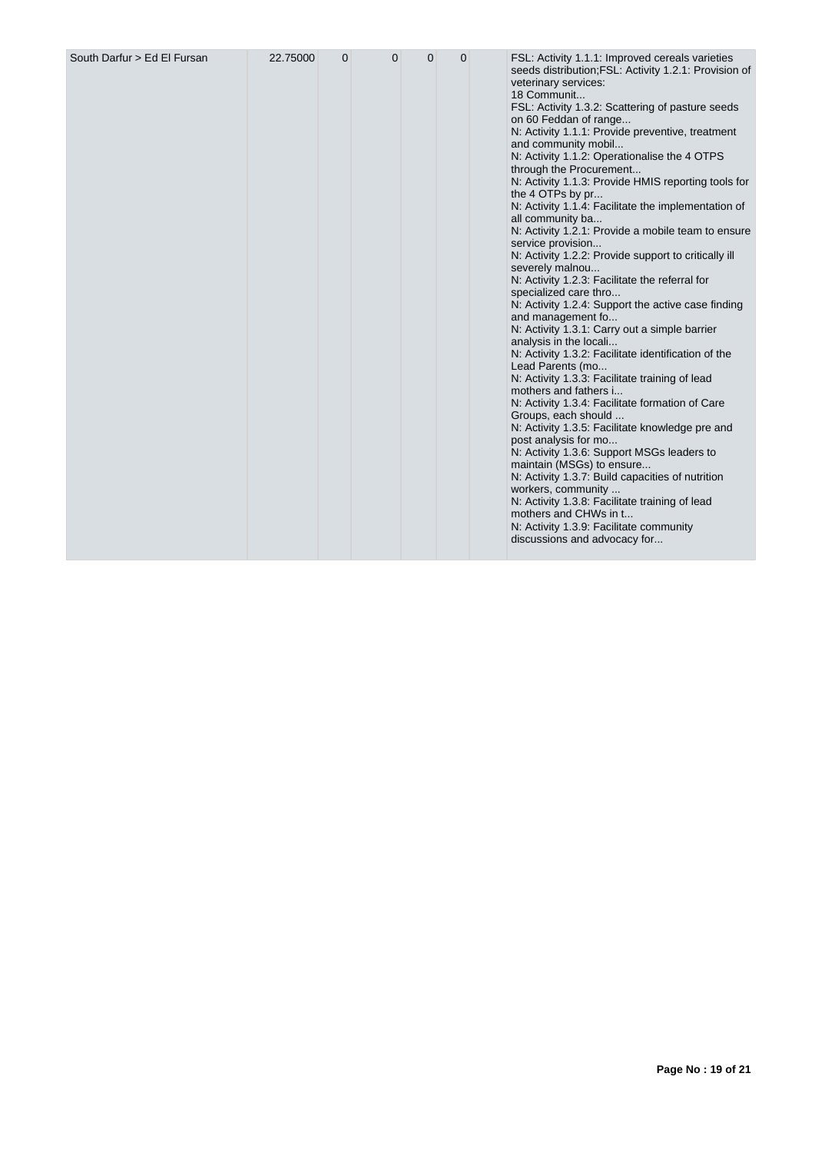|  |  |  |  |  |  |  | seeds distribution; FSL: Activity 1.2.1: Provision of<br>veterinary services:<br>18 Communit<br>FSL: Activity 1.3.2: Scattering of pasture seeds<br>on 60 Feddan of range<br>N: Activity 1.1.1: Provide preventive, treatment<br>and community mobil<br>N: Activity 1.1.2: Operationalise the 4 OTPS<br>through the Procurement<br>N: Activity 1.1.3: Provide HMIS reporting tools for<br>the 4 OTPs by pr<br>N: Activity 1.1.4: Facilitate the implementation of<br>all community ba<br>N: Activity 1.2.1: Provide a mobile team to ensure<br>service provision<br>N: Activity 1.2.2: Provide support to critically ill<br>severely malnou<br>N: Activity 1.2.3: Facilitate the referral for<br>specialized care thro<br>N: Activity 1.2.4: Support the active case finding<br>and management fo<br>N: Activity 1.3.1: Carry out a simple barrier<br>analysis in the locali<br>N: Activity 1.3.2: Facilitate identification of the<br>Lead Parents (mo<br>N: Activity 1.3.3: Facilitate training of lead<br>mothers and fathers i<br>N: Activity 1.3.4: Facilitate formation of Care<br>Groups, each should<br>N: Activity 1.3.5: Facilitate knowledge pre and<br>post analysis for mo<br>N: Activity 1.3.6: Support MSGs leaders to |
|--|--|--|--|--|--|--|---------------------------------------------------------------------------------------------------------------------------------------------------------------------------------------------------------------------------------------------------------------------------------------------------------------------------------------------------------------------------------------------------------------------------------------------------------------------------------------------------------------------------------------------------------------------------------------------------------------------------------------------------------------------------------------------------------------------------------------------------------------------------------------------------------------------------------------------------------------------------------------------------------------------------------------------------------------------------------------------------------------------------------------------------------------------------------------------------------------------------------------------------------------------------------------------------------------------------------------|
|--|--|--|--|--|--|--|---------------------------------------------------------------------------------------------------------------------------------------------------------------------------------------------------------------------------------------------------------------------------------------------------------------------------------------------------------------------------------------------------------------------------------------------------------------------------------------------------------------------------------------------------------------------------------------------------------------------------------------------------------------------------------------------------------------------------------------------------------------------------------------------------------------------------------------------------------------------------------------------------------------------------------------------------------------------------------------------------------------------------------------------------------------------------------------------------------------------------------------------------------------------------------------------------------------------------------------|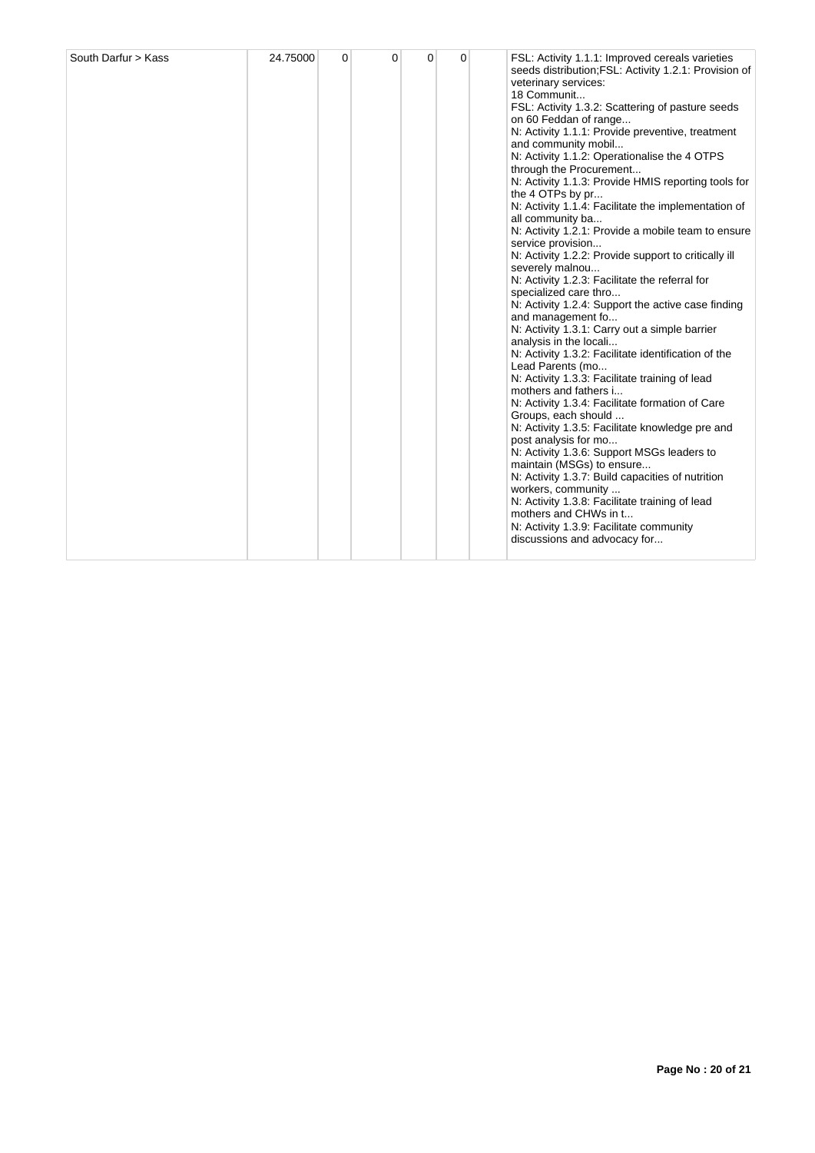| South Darfur > Kass | 24.75000 | $\Omega$ | $\Omega$ | $\Omega$ | 0 |  | FSL: Activity 1.1.1: Improved cereals varieties<br>seeds distribution; FSL: Activity 1.2.1: Provision of<br>veterinary services:<br>18 Communit<br>FSL: Activity 1.3.2: Scattering of pasture seeds<br>on 60 Feddan of range<br>N: Activity 1.1.1: Provide preventive, treatment<br>and community mobil<br>N: Activity 1.1.2: Operationalise the 4 OTPS<br>through the Procurement<br>N: Activity 1.1.3: Provide HMIS reporting tools for<br>the 4 OTPs by pr<br>N: Activity 1.1.4: Facilitate the implementation of<br>all community ba<br>N: Activity 1.2.1: Provide a mobile team to ensure<br>service provision<br>N: Activity 1.2.2: Provide support to critically ill<br>severely malnou<br>N: Activity 1.2.3: Facilitate the referral for<br>specialized care thro<br>N: Activity 1.2.4: Support the active case finding<br>and management fo<br>N: Activity 1.3.1: Carry out a simple barrier<br>analysis in the locali<br>N: Activity 1.3.2: Facilitate identification of the<br>Lead Parents (mo<br>N: Activity 1.3.3: Facilitate training of lead<br>mothers and fathers i<br>N: Activity 1.3.4: Facilitate formation of Care<br>Groups, each should<br>N: Activity 1.3.5: Facilitate knowledge pre and<br>post analysis for mo<br>N: Activity 1.3.6: Support MSGs leaders to<br>maintain (MSGs) to ensure<br>N: Activity 1.3.7: Build capacities of nutrition<br>workers, community<br>N: Activity 1.3.8: Facilitate training of lead<br>mothers and CHWs in t<br>N: Activity 1.3.9: Facilitate community<br>discussions and advocacy for |
|---------------------|----------|----------|----------|----------|---|--|-------------------------------------------------------------------------------------------------------------------------------------------------------------------------------------------------------------------------------------------------------------------------------------------------------------------------------------------------------------------------------------------------------------------------------------------------------------------------------------------------------------------------------------------------------------------------------------------------------------------------------------------------------------------------------------------------------------------------------------------------------------------------------------------------------------------------------------------------------------------------------------------------------------------------------------------------------------------------------------------------------------------------------------------------------------------------------------------------------------------------------------------------------------------------------------------------------------------------------------------------------------------------------------------------------------------------------------------------------------------------------------------------------------------------------------------------------------------------------------------------------------------------------------------------------|
|---------------------|----------|----------|----------|----------|---|--|-------------------------------------------------------------------------------------------------------------------------------------------------------------------------------------------------------------------------------------------------------------------------------------------------------------------------------------------------------------------------------------------------------------------------------------------------------------------------------------------------------------------------------------------------------------------------------------------------------------------------------------------------------------------------------------------------------------------------------------------------------------------------------------------------------------------------------------------------------------------------------------------------------------------------------------------------------------------------------------------------------------------------------------------------------------------------------------------------------------------------------------------------------------------------------------------------------------------------------------------------------------------------------------------------------------------------------------------------------------------------------------------------------------------------------------------------------------------------------------------------------------------------------------------------------|